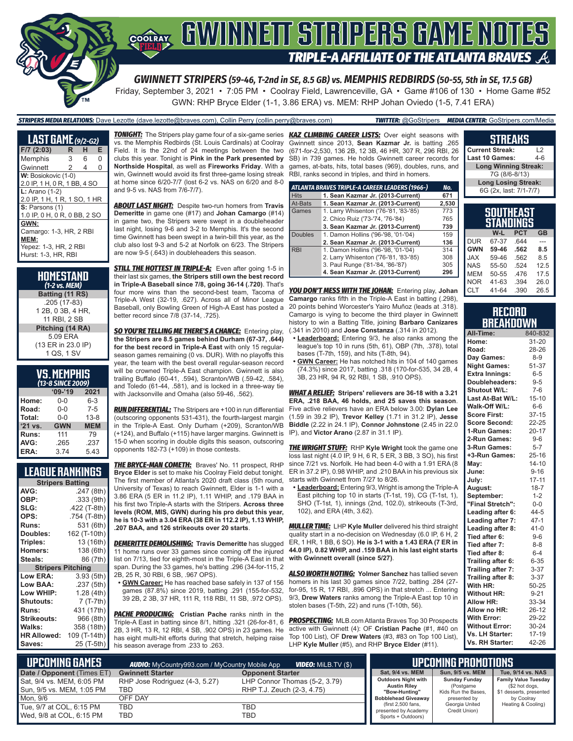

*GWINNETT STRIPERS (59-46, T-2nd in SE, 8.5 GB) vs. MEMPHIS REDBIRDS (50-55, 5th in SE, 17.5 GB)* Friday, September 3, 2021 • 7:05 PM • Coolray Field, Lawrenceville, GA • Game #106 of 130 • Home Game #52

GWN: RHP Bryce Elder (1-1, 3.86 ERA) vs. MEM: RHP Johan Oviedo (1-5, 7.41 ERA)

#### *STRIPERS MEDIA RELATIONS:* Dave Lezotte (dave.lezotte@braves.com), Collin Perry (collin.perry@braves.com) *TWITTER:* @GoStripers *MEDIA CENTER:* GoStripers.com/Media

| <b>LAST GAME</b> (9/2-62)                                                               |   |   |   |
|-----------------------------------------------------------------------------------------|---|---|---|
| $F/7$ (2:03)                                                                            | R | н | E |
| Memphis                                                                                 | 3 | 6 | 0 |
| Gwinnett                                                                                | 2 | 4 | O |
| W: Bosiokovic (1-0)<br>2.0 IP, 1 H, 0 R, 1 BB, 4 SO                                     |   |   |   |
| $L: Arano(1-2)$<br>2.0 IP, 1 H, 1 R, 1 SO, 1 HR                                         |   |   |   |
| S: Parsons (1)<br>1.0 IP, 0 H, 0 R, 0 BB, 2 SO                                          |   |   |   |
| GWN:<br>Camargo: 1-3, HR, 2 RBI<br>MEM:<br>Yepez: 1-3, HR, 2 RBI<br>Hurst: 1-3. HR. RBI |   |   |   |

| HOMESTAND<br>(1-2 vs. MEM)                        |
|---------------------------------------------------|
| Batting (11 RS)                                   |
| .205 (17-83)<br>1 2B, 0 3B, 4 HR,<br>11 RBI. 2 SB |
| Pitching (14 RA)                                  |
| 5.09 ERA<br>(13 ER in 23.0 IP)<br>1 QS, 1 SV      |

#### **VS. MEMPHIS** *(13-8 SINCE 2009)*

|         | 15-0 JINCE ZUUST |            |
|---------|------------------|------------|
|         | $09 - 19$        | 2021       |
| Home:   | 0-0              | 6-3        |
| Road:   | $0 - 0$          | $7 - 5$    |
| Total:  | $0 - 0$          | $13 - 8$   |
| '21 vs. | <b>GWN</b>       | <b>MEM</b> |
| Runs:   | 111              | 79         |
| AVG:    | .265             | .237       |
| ERA:    | 3.74             | 5.43       |

#### **LEAGUE RANKINGS**

| <b>Stripers Batting</b>  |              |  |  |
|--------------------------|--------------|--|--|
| AVG:                     | .247 (8th)   |  |  |
| OBP:                     | .333 (9th)   |  |  |
| SLG:                     | .422 (T-8th) |  |  |
| OPS:                     | .754 (T-8th) |  |  |
| <b>Runs:</b>             | 531 (6th)    |  |  |
| <b>Doubles:</b>          | 162 (T-10th) |  |  |
| Triples:                 | 13 (16th)    |  |  |
| <b>Homers:</b>           | 138 (6th)    |  |  |
| Steals:                  | 86 (7th)     |  |  |
| <b>Stripers Pitching</b> |              |  |  |
| <b>Low ERA:</b>          | 3.93 (5th)   |  |  |
| Low BAA:                 | .237 (5th)   |  |  |
| Low WHIP:                | 1.28 (4th)   |  |  |
| <b>Shutouts:</b>         | 7 (T-7th)    |  |  |
| <b>Runs:</b>             | 431 (17th)   |  |  |
| <b>Strikeouts:</b>       | 966 (8th)    |  |  |
| Walks:                   | 358 (18th)   |  |  |
| <b>HR Allowed:</b>       | 109 (T-14th) |  |  |
| Saves:                   | 25 (T-5th)   |  |  |
|                          |              |  |  |

vs. the Memphis Redbirds (St. Louis Cardinals) at Coolray Field. It is the 22nd of 24 meetings between the two clubs this year. Tonight is **Pink in the Park presented by Northside Hospital**, as well as **Fireworks Friday**. With a win, Gwinnett would avoid its first three-game losing streak at home since 6/20-7/7 (lost 6-2 vs. NAS on 6/20 and 8-0 and 9-5 vs. NAS from 7/6-7/7).

*ABOUT LAST NIGHT:* Despite two-run homers from **Travis Demeritte** in game one (#17) and **Johan Camargo** (#14) in game two, the Stripers were swept in a doubleheader last night, losing 9-6 and 3-2 to Memphis. It's the second time Gwinnett has been swept in a twin-bill this year, as the club also lost 9-3 and 5-2 at Norfolk on 6/23. The Stripers are now 9-5 (.643) in doubleheaders this season.

**STILL THE HOTTEST IN TRIPLE-A:** Even after going 1-5 in their last six games, **the Stripers still own the best record in Triple-A Baseball since 7/8, going 36-14 (.720)**. That's four more wins than the second-best team, Tacoma of Triple-A West (32-19, .627). Across all of Minor League Baseball, only Bowling Green of High-A East has posted a better record since 7/8 (37-14, .725).

*SO YOU'RE TELLING ME THERE'S A CHANCE:* Entering play, **the Stripers are 8.5 games behind Durham (67-37, .644) for the best record in Triple-A East** with only 15 regularseason games remaining (0 vs. DUR). With no playoffs this year, the team with the best overall regular-season record will be crowned Triple-A East champion. Gwinnett is also trailing Buffalo (60-41, .594), Scranton/WB (.59-42, .584), and Toledo (61-44, .581), and is locked in a three-way tie with Jacksonville and Omaha (also 59-46, .562).

*RUN DIFFERENTIAL:* The Stripers are +100 in run differential (outscoring opponents 531-431), the fourth-largest margin in the Triple-A East. Only Durham (+209), Scranton/WB (+124), and Buffalo (+115) have larger margins. Gwinnett is IP), and **Victor Arano** (2.87 in 31.1 IP). 15-0 when scoring in double digits this season, outscoring opponents 182-73 (+109) in those contests.

**THE BRYCE-MAN COMETH:** Braves' No. 11 prospect, RHP **Bryce Elder** is set to make his Coolray Field debut tonight. The first member of Atlanta's 2020 draft class (5th round, University of Texas) to reach Gwinnett, Elder is 1-1 with a 3.86 ERA (5 ER in 11.2 IP), 1.11 WHIP, and .179 BAA in his first two Triple-A starts with the Stripers. **Across three levels (ROM, MIS, GWN) during his pro debut this year, he is 10-3 with a 3.04 ERA (38 ER in 112.2 IP), 1.13 WHIP, .207 BAA, and 126 strikeouts over 20 starts**.

*DEMERITTE DEMOLISHING:* **Travis Demeritte** has slugged 11 home runs over 33 games since coming off the injured list on 7/13, tied for eighth-most in the Triple-A East in that span. During the 33 games, he's batting .296 (34-for-115, 2 2B, 25 R, 30 RBI, 6 SB, .967 OPS).

**• GWN Career:** He has reached base safely in 137 of 156 games (87.8%) since 2019, batting .291 (155-for-532, 39 2B, 2 3B, 37 HR, 111 R, 118 RBI, 11 SB, .972 OPS).

**PACHE PRODUCING:** Cristian Pache ranks ninth in the Triple-A East in batting since 8/1, hitting .321 (26-for-81, 6 2B, 3 HR, 13 R, 12 RBI, 4 SB, .902 OPS) in 23 games. He has eight multi-hit efforts during that stretch, helping raise his season average from .233 to .263.

*TONIGHT:* The Stripers play game four of a six-game series *KAZ CLIMBING CAREER LISTS:* Over eight seasons with Gwinnett since 2013, **Sean Kazmar Jr.** is batting .265 (671-for-2,530, 136 2B, 12 3B, 46 HR, 307 R, 296 RBI, 26 SB) in 739 games. He holds Gwinnett career records for games, at-bats, hits, total bases (969), doubles, runs, and RBI, ranks second in triples, and third in homers.

|                | ATLANTA BRAVES TRIPLE-A CAREER LEADERS (1966-) | No.   |
|----------------|------------------------------------------------|-------|
| <b>Hits</b>    | 1. Sean Kazmar Jr. (2013-Current)              | 671   |
| At-Bats        | 1. Sean Kazmar Jr. (2013-Current)              | 2,530 |
| Games          | 1. Larry Whisenton ('76-'81, '83-'85)          | 773   |
|                | 2. Chico Ruiz ('73-'74, '76-'84)               | 765   |
|                | 3. Sean Kazmar Jr. (2013-Current)              | 739   |
| <b>Doubles</b> | 1. Damon Hollins ('96-'98, '01-'04)            | 159   |
|                | 2. Sean Kazmar Jr. (2013-Current)              | 136   |
| <b>RBI</b>     | 1. Damon Hollins ('96-'98, '01-'04)            | 314   |
|                | 2. Larry Whisenton ('76-'81, '83-'85)          | 308   |
|                | 3. Paul Runge ('81-'84, '86-'87)               | 305   |
|                | 4. Sean Kazmar Jr. (2013-Current)              | 296   |

*YOU DON'T MESS WITH THE JOHAN:* Entering play, **Johan Camargo** ranks fifth in the Triple-A East in batting (.298), 20 points behind Worcester's Yairo Muñoz (leads at .318). Camargo is vying to become the third player in Gwinnett history to win a Batting Title, joining **Barbaro Canizares** (.341 in 2010) and **Jose Constanza** (.314 in 2012).

- **• Leaderboard:** Entering 9/3, he also ranks among the league's top 10 in runs (5th, 61), OBP (7th, .378), total bases (T-7th, 159), and hits (T-8th, 94).
- **• GWN Career:** He has notched hits in 104 of 140 games (74.3%) since 2017, batting .318 (170-for-535, 34 2B, 4 3B, 23 HR, 94 R, 92 RBI, 1 SB, .910 OPS).

*WHAT A RELIEF:* **Stripers' relievers are 36-18 with a 3.21 ERA, .218 BAA, 46 holds, and 25 saves this season**. Five active relievers have an ERA below 3.00: **Dylan Lee** (1.59 in 39.2 IP), **Trevor Kelley** (1.71 in 31.2 IP), **Jesse Biddle** (2.22 in 24.1 IP), **Connor Johnstone** (2.45 in 22.0

*THE WRIGHT STUFF:* RHP **Kyle Wright** took the game one loss last night (4.0 IP, 9 H, 6 R, 5 ER, 3 BB, 3 SO), his first since 7/21 vs. Norfolk. He had been 4-0 with a 1.91 ERA (8 ER in 37.2 IP), 0.98 WHIP, and .210 BAA in his previous six starts with Gwinnett from 7/27 to 8/26.

**• Leaderboard:** Entering 9/3, Wright is among the Triple-A East pitching top 10 in starts (T-1st, 19), CG (T-1st, 1), SHO (T-1st, 1), innings (2nd, 102.0), strikeouts (T-3rd, 102), and ERA (4th, 3.62).

*MULLER TIME:* LHP **Kyle Muller** delivered his third straight quality start in a no-decision on Wednesday (6.0 IP, 6 H, 2 ER, 1 HR, 1 BB, 6 SO). **He is 3-1 with a 1.43 ERA (7 ER in 44.0 IP), 0.82 WHIP, and .159 BAA in his last eight starts with Gwinnett overall (since 5/27)**.

*ALSO WORTH NOTING:* **Yolmer Sanchez** has tallied seven homers in his last 30 games since 7/22, batting .284 (27 for-95, 15 R, 17 RBI, .896 OPS) in that stretch ... Entering 9/3, **Drew Waters** ranks among the Triple-A East top 10 in stolen bases (T-5th, 22) and runs (T-10th, 56).

*PROSPECTING:* MLB.com Atlanta Braves Top 30 Prospects active with Gwinnett (4): OF **Cristian Pache** (#1, #40 on Top 100 List), OF **Drew Waters** (#3, #83 on Top 100 List), LHP **Kyle Muller** (#5), and RHP **Bryce Elder** (#11).

#### **SOUTHEAST STANDINGS W-L PCT GB**  $DIIR$   $67-37$ **GWN 59-46 .562 8.5**  $JAX$ **Long Winning Streak:** 7G (8/6-8/13) **Long Losing Streak:** 6G (2x, last: 7/1-7/7)

**STREAKS Current Streak:** L2 **Last 10 Games:** 

| NAS | 55-50 | .524 | 12.5 |
|-----|-------|------|------|
| MEM | 50-55 | .476 | 17.5 |
| NOR | 41-63 | .394 | 26.0 |
| CLT | 41-64 | .390 | 26.5 |
|     |       |      |      |
|     |       |      |      |

#### **RECORD BREAKDOWN**

| All-Time:             | 840-832   |
|-----------------------|-----------|
| Home:                 | $31 - 20$ |
| Road:                 | 28-26     |
| Day Games:            | $8 - 9$   |
| <b>Night Games:</b>   | 51-37     |
| <b>Extra Innings:</b> | $6 - 5$   |
| Doubleheaders:        | $9 - 5$   |
| Shutout W/L:          | $7-6$     |
| Last At-Bat W/L:      | $15 - 10$ |
| Walk-Off W/L:         | $6-6$     |
| <b>Score First:</b>   | $37 - 15$ |
| <b>Score Second:</b>  | 22-25     |
| 1-Run Games:          | $20 - 17$ |
| 2-Run Games:          | $9 - 6$   |
| 3-Run Games:          | $5 - 7$   |
| +3-Run Games:         | $25 - 16$ |
| May:                  | $14 - 10$ |
| June:                 | $9 - 16$  |
| July:                 | $17 - 11$ |
| August:               | $18 - 7$  |
| September:            | $1 - 2$   |
| "Final Stretch":      | $0-0$     |
| Leading after 6:      | $44 - 5$  |
| Leading after 7:      | $47 - 1$  |
| Leading after 8:      | $41 - 0$  |
| Tied after 6:         | $9 - 6$   |
| Tied after 7:         | $8 - 8$   |
| Tied after 8:         | $6 - 4$   |
| Trailing after 6:     | $6 - 35$  |
| Trailing after 7:     | $3 - 37$  |
| Trailing after 8:     | $3 - 37$  |
| With HR:              | 50-25     |
| <b>Without HR:</b>    | $9 - 21$  |
| <b>Allow HR:</b>      | 33-34     |
| Allow no HR:          | $26 - 12$ |
| <b>With Error:</b>    | 29-22     |
| <b>Without Error:</b> | 30-24     |
| Vs. LH Starter:       | $17 - 19$ |
| Vs. RH Starter:       | 42-26     |

| <b>UPCOMING GAMES</b>      | <b>AUDIO:</b> MyCountry993.com / MyCountry Mobile App |                               | 'UPCOMING PROMOTIONS .                            |                                   |                                               |
|----------------------------|-------------------------------------------------------|-------------------------------|---------------------------------------------------|-----------------------------------|-----------------------------------------------|
| Date / Opponent (Times ET) | <b>Gwinnett Starter</b>                               | <b>Opponent Starter</b>       | Sat. 9/4 vs. MEM                                  | Sun, 9/5 vs. MEM                  | Tue, 9/14 vs. NAS                             |
| Sat, 9/4 vs. MEM, 6:05 PM  | RHP Jose Rodriguez (4-3, 5.27)                        | LHP Connor Thomas (5-2, 3.79) | <b>Outdoors Night with</b><br><b>Austin Rilev</b> | <b>Sunday Funday</b><br>(Postgame | <b>Family Value Tuesday</b><br>(\$2 hot dogs, |
| Sun, 9/5 vs. MEM, 1:05 PM  | TBD.                                                  | RHP T.J. Zeuch (2-3, 4.75)    | "Bow-Hunting"                                     | Kids Run the Bases,               | \$1 desserts, presented                       |
| Mon. 9/6                   | OFF DAY                                               |                               | <b>Bobblehead Giveaway</b>                        | presented by                      | by Coolray                                    |
| Tue, 9/7 at COL, 6:15 PM   | TBD                                                   | TBD                           | (first 2,500 fans,<br>presented by Academy        | Georgia United<br>Credit Union)   | Heating & Cooling)                            |
| Wed, 9/8 at COL, 6:15 PM   | TBD                                                   | TBD                           | Sports + Outdoors)                                |                                   |                                               |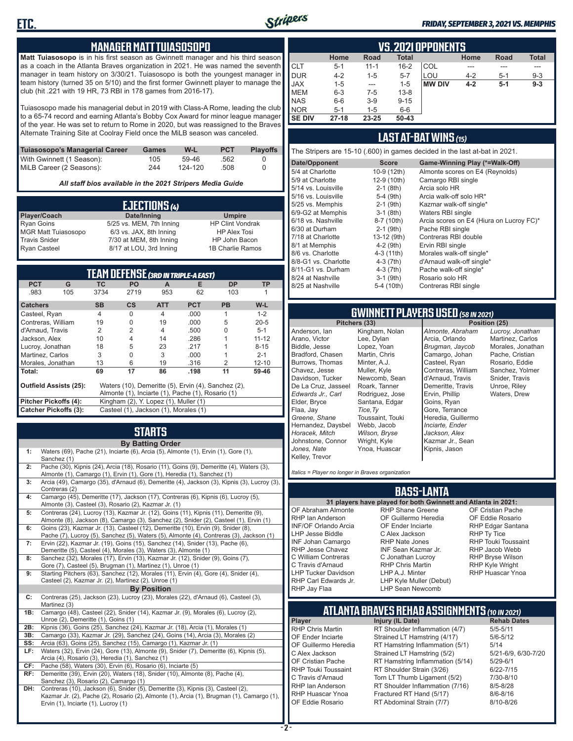

#### *FRIDAY, SEPTEMBER 3, 2021 VS. MEMPHIS*

#### **MANAGER MATT TUIASOSOPO**

**Matt Tuiasosopo** is in his first season as Gwinnett manager and his third season as a coach in the Atlanta Braves organization in 2021. He was named the seventh manager in team history on 3/30/21. Tuiasosopo is both the youngest manager in team history (turned 35 on 5/10) and the first former Gwinnett player to manage the club (hit .221 with 19 HR, 73 RBI in 178 games from 2016-17).

Tuiasosopo made his managerial debut in 2019 with Class-A Rome, leading the club to a 65-74 record and earning Atlanta's Bobby Cox Award for minor league manager of the year. He was set to return to Rome in 2020, but was reassigned to the Braves Alternate Training Site at Coolray Field once the MiLB season was canceled.

| Tuiasosopo's Managerial Career | <b>Games</b> | W-L     | <b>PCT</b> | <b>Plavoffs</b> |
|--------------------------------|--------------|---------|------------|-----------------|
| With Gwinnett (1 Season):      | 105          | 59-46   | .562       |                 |
| MiLB Career (2 Seasons):       | 244          | 124-120 | .508       |                 |

*All staff bios available in the 2021 Stripers Media Guide*

|                            | EJECTIONS (4)            |                         |
|----------------------------|--------------------------|-------------------------|
| Player/Coach               | Date/Inning              | <b>Umpire</b>           |
| <b>Ryan Goins</b>          | 5/25 vs. MEM, 7th Inning | <b>HP Clint Vondrak</b> |
| <b>MGR Matt Tuiasosopo</b> | 6/3 vs. JAX, 8th Inning  | <b>HP Alex Tosi</b>     |
| <b>Travis Snider</b>       | 7/30 at MEM, 8th Inning  | HP John Bacon           |
| <b>Ryan Casteel</b>        | 8/17 at LOU, 3rd Inning  | 1B Charlie Ramos        |

|                               |     |                |                                       |                | <b>TEAM DEFENSE (3RD IN TRIPLE-A EAST)</b>          |           |           |
|-------------------------------|-----|----------------|---------------------------------------|----------------|-----------------------------------------------------|-----------|-----------|
| <b>PCT</b>                    | G   | <b>TC</b>      | <b>PO</b>                             | A              | Е                                                   | <b>DP</b> | TP        |
| .983                          | 105 | 3734           | 2719                                  | 953            | 62                                                  | 103       |           |
| <b>Catchers</b>               |     | <b>SB</b>      | <b>CS</b>                             | <b>ATT</b>     | <b>PCT</b>                                          | <b>PB</b> | $W-L$     |
| Casteel, Ryan                 |     | $\overline{4}$ | O                                     | 4              | .000                                                |           | $1 - 2$   |
| Contreras, William            |     | 19             | O                                     | 19             | .000                                                | 5         | $20 - 5$  |
| d'Arnaud, Travis              |     | 2              | 2                                     | $\overline{4}$ | .500                                                | U         | $5 - 1$   |
| Jackson, Alex                 |     | 10             | 4                                     | 14             | .286                                                |           | $11 - 12$ |
| Lucroy, Jonathan              |     | 18             | 5                                     | 23             | .217                                                |           | $8 - 15$  |
| Martinez, Carlos              |     | 3              | O                                     | 3              | .000                                                |           | $2 - 1$   |
| Morales, Jonathan             |     | 13             | 6                                     | 19             | .316                                                | 2         | $12 - 10$ |
| Total:                        |     | 69             | 17                                    | 86             | .198                                                | 11        | 59-46     |
| <b>Outfield Assists (25):</b> |     |                |                                       |                | Waters (10), Demeritte (5), Ervin (4), Sanchez (2), |           |           |
|                               |     |                |                                       |                | Almonte (1), Inciarte (1), Pache (1), Rosario (1)   |           |           |
| <b>Pitcher Pickoffs (4):</b>  |     |                | Kingham (2), Y. Lopez (1), Muller (1) |                |                                                     |           |           |
| <b>Catcher Pickoffs (3):</b>  |     |                | Casteel (1), Jackson (1), Morales (1) |                |                                                     |           |           |

# **STARTS**

|     | <b>By Batting Order</b>                                                                                                                                                                                              |
|-----|----------------------------------------------------------------------------------------------------------------------------------------------------------------------------------------------------------------------|
| 1:  | Waters (69), Pache (21), Inciarte (6), Arcia (5), Almonte (1), Ervin (1), Gore (1),<br>Sanchez (1)                                                                                                                   |
| 2:  | Pache (30), Kipnis (24), Arcia (18), Rosario (11), Goins (9), Demeritte (4), Waters (3),<br>Almonte (1), Camargo (1), Ervin (1), Gore (1), Heredia (1), Sanchez (1)                                                  |
| 3:  | Arcia (49), Camargo (35), d'Arnaud (6), Demeritte (4), Jackson (3), Kipnis (3), Lucroy (3),<br>Contreras (2)                                                                                                         |
| 4:  | Camargo (45), Demeritte (17), Jackson (17), Contreras (6), Kipnis (6), Lucroy (5),<br>Almonte (3), Casteel (3), Rosario (2), Kazmar Jr. (1)                                                                          |
| 5:  | Contreras (24), Lucroy (13), Kazmar Jr. (12), Goins (11), Kipnis (11), Demeritte (9),<br>Almonte (8), Jackson (8), Camargo (3), Sanchez (2), Snider (2), Casteel (1), Ervin (1)                                      |
| 6:  | Goins (23), Kazmar Jr. (13), Casteel (12), Demeritte (10), Ervin (9), Snider (8),<br>Pache (7), Lucroy (5), Sanchez (5), Waters (5), Almonte (4), Contreras (3), Jackson (1)                                         |
| 7:  | Ervin (22), Kazmar Jr. (19), Goins (15), Sanchez (14), Snider (13), Pache (6),<br>Demeritte (5), Casteel (4), Morales (3), Waters (3), Almonte (1)                                                                   |
| 8:  | Sanchez (32), Morales (17), Ervin (13), Kazmar Jr. (12), Snider (9), Goins (7),<br>Gore (7), Casteel (5), Brugman (1), Martinez (1), Unroe (1)                                                                       |
| 9:  | Starting Pitchers (63), Sanchez (12), Morales (11), Ervin (4), Gore (4), Snider (4),<br>Casteel (2), Kazmar Jr. (2), Martinez (2), Unroe (1)                                                                         |
|     | <b>By Position</b>                                                                                                                                                                                                   |
| C:  | Contreras (25), Jackson (23), Lucroy (23), Morales (22), d'Arnaud (6), Casteel (3),<br>Martinez (3)                                                                                                                  |
| 1B: | Camargo (48), Casteel (22), Snider (14), Kazmar Jr. (9), Morales (6), Lucroy (2),<br>Unroe (2), Demeritte (1), Goins (1)                                                                                             |
| 2B: | Kipnis (36), Goins (25), Sanchez (24), Kazmar Jr. (18), Arcia (1), Morales (1)                                                                                                                                       |
| 3B: | Camargo (33), Kazmar Jr. (29), Sanchez (24), Goins (14), Arcia (3), Morales (2)                                                                                                                                      |
| SS: | Arcia (63), Goins (25), Sanchez (15), Camargo (1), Kazmar Jr. (1)                                                                                                                                                    |
| LF: | Waters (32), Ervin (24), Gore (13), Almonte (9), Snider (7), Demeritte (6), Kipnis (5),<br>Arcia (4), Rosario (3), Heredia (1), Sanchez (1)                                                                          |
| CF: | Pache (58), Waters (30), Ervin (6), Rosario (6), Inciarte (5)                                                                                                                                                        |
| RF: | Demeritte (39), Ervin (20), Waters (18), Snider (10), Almonte (8), Pache (4),<br>Sanchez (3), Rosario (2), Camargo (1)                                                                                               |
| DH: | Contreras (10), Jackson (6), Snider (5), Demeritte (3), Kipnis (3), Casteel (2),<br>Kazmar Jr. (2), Pache (2), Rosario (2), Almonte (1), Arcia (1), Brugman (1), Camargo (1),<br>Ervin (1), Inciarte (1), Lucroy (1) |

|               | <b>VS.2021 OPPONENTS</b> |          |              |               |         |       |              |  |  |  |  |
|---------------|--------------------------|----------|--------------|---------------|---------|-------|--------------|--|--|--|--|
|               | Home                     | Road     | <b>Total</b> |               | Home    | Road  | <b>Total</b> |  |  |  |  |
| <b>CLT</b>    | $5 - 1$                  | $11 - 1$ | $16 - 2$     | COL           | ---     |       |              |  |  |  |  |
| <b>DUR</b>    | $4 - 2$                  | $1 - 5$  | $5 - 7$      | LOU           | $4 - 2$ | $5-1$ | $9 - 3$      |  |  |  |  |
| <b>JAX</b>    | $1 - 5$                  | ---      | $1 - 5$      | <b>MW DIV</b> | $4 - 2$ | $5-1$ | $9 - 3$      |  |  |  |  |
| <b>MEM</b>    | $6 - 3$                  | $7-5$    | $13 - 8$     |               |         |       |              |  |  |  |  |
| <b>NAS</b>    | $6-6$                    | $3-9$    | $9 - 15$     |               |         |       |              |  |  |  |  |
| <b>NOR</b>    | $5 - 1$                  | $1 - 5$  | $6-6$        |               |         |       |              |  |  |  |  |
| <b>SE DIV</b> | $27 - 18$                | 23-25    | $50 - 43$    |               |         |       |              |  |  |  |  |

#### **LAST AT-BAT WINS** *(15)*

The Stripers are 15-10 (.600) in games decided in the last at-bat in 2021.

| Date/Opponent        | <b>Score</b> | Game-Winning Play (*=Walk-Off)           |
|----------------------|--------------|------------------------------------------|
| 5/4 at Charlotte     | 10-9 (12th)  | Almonte scores on E4 (Reynolds)          |
| 5/9 at Charlotte     | 12-9 (10th)  | Camargo RBI single                       |
| 5/14 vs. Louisville  | $2-1$ (8th)  | Arcia solo HR                            |
| 5/16 vs. Louisville  | $5-4$ (9th)  | Arcia walk-off solo HR*                  |
| 5/25 vs. Memphis     | $2-1$ (9th)  | Kazmar walk-off single*                  |
| 6/9-G2 at Memphis    | $3-1$ (8th)  | Waters RBI single                        |
| 6/18 vs. Nashville   | 8-7 (10th)   | Arcia scores on E4 (Hiura on Lucroy FC)* |
| 6/30 at Durham       | $2-1$ (9th)  | Pache RBI single                         |
| 7/18 at Charlotte    | 13-12 (9th)  | Contreras RBI double                     |
| 8/1 at Memphis       | $4-2$ (9th)  | Ervin RBI single                         |
| 8/6 vs. Charlotte    | $4-3(11th)$  | Morales walk-off single*                 |
| 8/8-G1 vs. Charlotte | $4-3$ (7th)  | d'Arnaud walk-off single*                |
| 8/11-G1 vs. Durham   | $4-3(7th)$   | Pache walk-off single*                   |
| 8/24 at Nashville    | $3-1$ (9th)  | Rosario solo HR                          |
| 8/25 at Nashville    | 5-4 (10th)   | Contreras RBI single                     |
|                      |              |                                          |

# **GWINNETT PLAYERS USED** *(58 IN 2021)*

**Pitchers (33)** Anderson, Ian Arano, Victor Biddle, Jesse Bradford, Chasen Burrows, Thomas Chavez, Jesse Davidson, Tucker De La Cruz, Jasseel *Edwards Jr., Carl* Elder, Bryce Flaa, Jay *Greene, Shane*  Hernandez, Daysbel *Horacek, Mitch* Johnstone, Connor *Jones, Nate* Kelley, Trevor Kingham, Nolan Lee, Dylan Lopez, Yoan Martin, Chris Minter, A.J. Muller, Kyle Newcomb, Sean Roark, Tanner Rodriguez, Jose Santana, Edgar *Tice,Ty* Toussaint, Touki Webb, Jacob *Wilson, Bryse* Wright, Kyle Ynoa, Huascar

*Almonte, Abraham* Arcia, Orlando *Brugman, Jaycob* Camargo, Johan Casteel, Ryan Contreras, William d'Arnaud, Travis Demeritte, Travis Ervin, Phillip Goins, Ryan Gore, Terrance Heredia, Guillermo *Inciarte, Ender Jackson, Alex* Kazmar Jr., Sean Kipnis, Jason

*Lucroy, Jonathan* Martinez, Carlos Morales, Jonathan Pache, Cristian Rosario, Eddie Sanchez, Yolmer Snider, Travis Unroe, Riley Waters, Drew

*Italics = Player no longer in Braves organization*

#### **BASS-LANTA**

#### OF Abraham Almonte RHP Ian Anderson INF/OF Orlando Arcia LHP Jesse Biddle INF Johan Camargo RHP Jesse Chavez C William Contreras C Travis d'Arnaud LHP Tucker Davidson RHP Carl Edwards Jr.

**31 players have played for both Gwinnett and Atlanta in 2021:** RHP Shane Greene OF Guillermo Heredia OF Ender Inciarte C Alex Jackson RHP Nate Jones INF Sean Kazmar Jr. C Jonathan Lucroy RHP Chris Martin LHP A.J. Minter LHP Kyle Muller (Debut) LHP Sean Newcomb

OF Cristian Pache OF Eddie Rosario RHP Edgar Santana RHP Ty Tice RHP Touki Toussaint RHP Jacob Webb RHP Bryse Wilson RHP Kyle Wright RHP Huascar Ynoa

# **ATLANTA BRAVES REHAB ASSIGNMENTS** *(10 IN 2021)*

**Player Injury (IL Date)** 

RHP Jay Flaa

RHP Chris Martin RT Shoulder Inflammation (4/7) 5/5-5/11<br>OF Ender Inciarte Strained LT Hamstring (4/17) 5/6-5/12 OF Ender Inciarte Strained LT Hamstring (4/17)<br>OF Guillermo Heredia RT Hamstring Inflammation (5) RT Hamstring Inflammation (5/1) 5/14 C Alex Jackson Strained LT Hamstring (5/2) 5/21-6/9, 6/30-7/20 OF Cristian Pache RT Hamstring Inflammation (5/14) 5/29-6/1<br>RHP Touki Toussaint RT Shoulder Strain (3/26) 6/22-7/15 RHP Touki Toussaint RT Shoulder Strain (3/26) 6/22-7/15<br>C. Travis d'Arnaud C. Torn LT Thumb Ligament (5/2) 6/10-8/10 Torn LT Thumb Ligament (5/2) RHP Ian Anderson RT Shoulder Inflammation (7/16) 8/5-8/28<br>RHP Huascar Ynoa Fractured RT Hand (5/17) 8/6-8/16 RHP Huascar Ynoa Fractured RT Hand (5/17) 8/6-8/16 RT Abdominal Strain (7/7)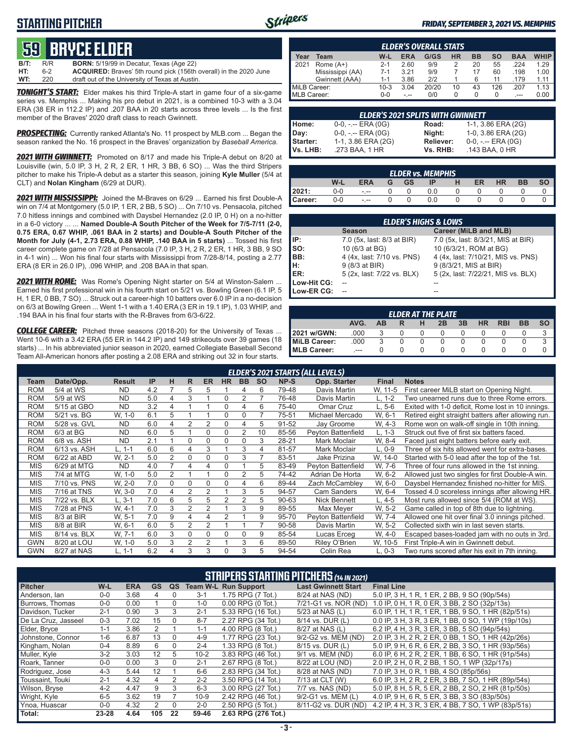### **STARTING PITCHER**



#### *FRIDAY, SEPTEMBER 3, 2021 VS. MEMPHIS*

# **59****bryce elder**

**B/T:** R/R **BORN:** 5/19/99 in Decatur, Texas (Age 22) **HT:** 6-2 **ACQUIRED:** Braves' 5th round pick (156th overall) in the 2020 June **WT:** 220 draft out of the University of Texas at Austin.

*TONIGHT'S START:* Elder makes his third Triple-A start in game four of a six-game series vs. Memphis ... Making his pro debut in 2021, is a combined 10-3 with a 3.04 ERA (38 ER in 112.2 IP) and .207 BAA in 20 starts across three levels ... Is the first member of the Braves' 2020 draft class to reach Gwinnett.

*PROSPECTING:* Currently ranked Atlanta's No. 11 prospect by MLB.com ... Began the season ranked the No. 16 prospect in the Braves' organization by *Baseball America.*

*2021 WITH GWINNETT:* Promoted on 8/17 and made his Triple-A debut on 8/20 at Louisville (win, 5.0 IP, 3 H, 2 R, 2 ER, 1 HR, 3 BB, 6 SO) ... Was the third Stripers pitcher to make his Triple-A debut as a starter this season, joining **Kyle Muller** (5/4 at CLT) and **Nolan Kingham** (6/29 at DUR).

*2021 WITH MISSISSIPPI:* Joined the M-Braves on 6/29 ... Earned his first Double-A win on 7/4 at Montgomery (5.0 IP, 1 ER, 2 BB, 5 SO) ... On 7/10 vs. Pensacola, pitched 7.0 hitless innings and combined with Daysbel Hernandez (2.0 IP, 0 H) on a no-hitter in a 6-0 victory ... ... **Named Double-A South Pitcher of the Week for 7/5-7/11 (2-0, 0.75 ERA, 0.67 WHIP, .061 BAA in 2 starts) and Double-A South Pitcher of the Month for July (4-1, 2.73 ERA, 0.88 WHIP, .140 BAA in 5 starts)** ... Tossed his first career complete game on 7/28 at Pensacola (7.0 IP, 3 H, 2 R, 2 ER, 1 HR, 3 BB, 9 SO in 4-1 win) ... Won his final four starts with Mississippi from 7/28-8/14, posting a 2.77 ERA (8 ER in 26.0 IP), .096 WHIP, and .208 BAA in that span.

*2021 WITH ROME:* Was Rome's Opening Night starter on 5/4 at Winston-Salem ... Earned his first professional win in his fourth start on 5/21 vs. Bowling Green (6.1 IP, 5 H, 1 ER, 0 BB, 7 SO) ... Struck out a career-high 10 batters over 6.0 IP in a no-decision on 6/3 at Bowilng Green ... Went 1-1 with a 1.40 ERA (3 ER in 19.1 IP), 1.03 WHIP, and .194 BAA in his final four starts with the R-Braves from 6/3-6/22.

*COLLEGE CAREER:* Pitched three seasons (2018-20) for the University of Texas ... Went 10-6 with a 3.42 ERA (55 ER in 144.2 IP) and 149 strikeouts over 39 games (18 starts) ... In his abbreviated junior season in 2020, earned Collegiate Baseball Second Team All-American honors after posting a 2.08 ERA and striking out 32 in four starts.

|             | <b>ELDER'S OVERALL STATS</b> |         |            |       |           |           |     |            |             |  |  |
|-------------|------------------------------|---------|------------|-------|-----------|-----------|-----|------------|-------------|--|--|
| Year        | Team                         | W-L     | <b>ERA</b> | G/GS  | <b>HR</b> | <b>BB</b> | SΟ  | <b>BAA</b> | <b>WHIP</b> |  |  |
| 2021        | Rome $(A+)$                  | $2 - 1$ | 2.60       | 9/9   |           | 20        | 55  | .224       | 1.29        |  |  |
|             | Mississippi (AA)             | $7-1$   | 3.21       | 9/9   |           | 17        | 60  | .198       | 1.00        |  |  |
|             | Gwinnett (AAA)               | 1-1     | 3.86       | 2/2   |           | 6         | 11  | .179       |             |  |  |
|             | MiLB Career:                 |         | 3.04       | 20/20 | 10        | 43        | 126 | 207        | 1.13        |  |  |
| MLB Career: |                              | $0 - 0$ |            | 0/0   |           | 0         | O   | ---        | 0.00        |  |  |

|          | <b>ELDER'S 2021 SPLITS WITH GWINNETT</b> |              |                       |
|----------|------------------------------------------|--------------|-----------------------|
| Home:    | $0-0, - -$ ERA $(0G)$                    | <b>Road:</b> | 1-1, 3.86 ERA (2G)    |
| Day:     | $0-0, - -$ ERA $(0G)$                    | Night:       | 1-0, 3.86 ERA (2G)    |
| Starter: | 1-1, 3.86 ERA (2G)                       | Reliever:    | $0-0, - -$ ERA $(0G)$ |
| Vs. LHB: | .273 BAA, 1 HR                           | Vs. RHB:     | .143 BAA, 0 HR        |

| <b>ELDER vs. MEMPHIS</b> |                                                                    |         |  |  |     |  |  |  |  |  |  |  |
|--------------------------|--------------------------------------------------------------------|---------|--|--|-----|--|--|--|--|--|--|--|
|                          | W-L<br><b>GS</b><br><b>ERA</b><br><b>HR</b><br>ID<br>ER<br>BВ<br>G |         |  |  |     |  |  |  |  |  |  |  |
| 2021:                    | 0-0                                                                | $- - -$ |  |  | 0.0 |  |  |  |  |  |  |  |
| Career:                  | 0-0                                                                | $ -$    |  |  | 0.0 |  |  |  |  |  |  |  |

| <b>ELDER'S HIGHS &amp; LOWS</b> |                            |                                    |  |  |  |  |  |  |
|---------------------------------|----------------------------|------------------------------------|--|--|--|--|--|--|
|                                 | <b>Season</b>              | Career (MiLB and MLB)              |  |  |  |  |  |  |
| IP:                             | 7.0 (5x, last: 8/3 at BIR) | 7.0 (5x, last: 8/3/21, MIS at BIR) |  |  |  |  |  |  |
| so:                             | 10 (6/3 at BG)             | 10 (6/3/21, ROM at BG)             |  |  |  |  |  |  |
| BB:                             | 4 (4x, last: 7/10 vs. PNS) | 4 (4x, last: 7/10/21, MIS vs. PNS) |  |  |  |  |  |  |
| H:                              | 9 (8/3 at BIR)             | 9 (8/3/21, MIS at BIR)             |  |  |  |  |  |  |
| <b>IER:</b>                     | 5 (2x, last: 7/22 vs. BLX) | 5 (2x, last: 7/22/21, MIS vs. BLX) |  |  |  |  |  |  |
| Low-Hit CG:                     |                            |                                    |  |  |  |  |  |  |
| Low-ER CG:                      |                            |                                    |  |  |  |  |  |  |

| <b>ELDER AT THE PLATE</b>                                                                    |      |   |   |              |              |  |  |  |  |   |  |  |
|----------------------------------------------------------------------------------------------|------|---|---|--------------|--------------|--|--|--|--|---|--|--|
| AVG.<br><b>SO</b><br><b>BB</b><br>3B<br><b>HR</b><br><b>RBI</b><br>2B<br><b>AB</b><br>н<br>R |      |   |   |              |              |  |  |  |  |   |  |  |
| 2021 w/GWN:                                                                                  | .000 |   | 0 | O            | O            |  |  |  |  |   |  |  |
| MiLB Career:                                                                                 | .000 | 3 |   | $\Omega$     | 0            |  |  |  |  | 3 |  |  |
| MLB Career:                                                                                  | ---  |   |   | $\mathbf{0}$ | $\mathbf{0}$ |  |  |  |  |   |  |  |

|            | <b>ELDER'S 2021 STARTS (ALL LEVELS)</b> |               |     |          |          |                |                |                |           |       |                    |              |                                                    |
|------------|-----------------------------------------|---------------|-----|----------|----------|----------------|----------------|----------------|-----------|-------|--------------------|--------------|----------------------------------------------------|
| Team       | Date/Opp.                               | <b>Result</b> | IP  | н        | R        | <b>ER</b>      | <b>HR</b>      | <b>BB</b>      | <b>SO</b> | NP-S  | Opp. Starter       | <b>Final</b> | <b>Notes</b>                                       |
| <b>ROM</b> | 5/4 at WS                               | ND            | 4.2 |          | 5        | 5              |                | 4              | 6         | 79-48 | Davis Martin       | W, 11-5      | First career MiLB start on Opening Night.          |
| <b>ROM</b> | 5/9 at WS                               | <b>ND</b>     | 5.0 | 4        | 3        |                | $\Omega$       | $\overline{2}$ |           | 76-48 | Davis Martin       | $L, 1-2$     | Two unearned runs due to three Rome errors.        |
| <b>ROM</b> | 5/15 at GBO                             | <b>ND</b>     | 3.2 | 4        |          |                | $\Omega$       | 4              | 6         | 75-40 | Omar Cruz          | L. 5-6       | Exited with 1-0 deficit, Rome lost in 10 innings.  |
| <b>ROM</b> | 5/21 vs. BG                             | W, 1-0        | 6.1 | 5        |          |                | $\Omega$       | 0              |           | 75-51 | Michael Mercado    | W. 6-1       | Retired eight straight batters after allowing run. |
| <b>ROM</b> | 5/28 vs. GVL                            | <b>ND</b>     | 6.0 | 4        | 2        | $\mathfrak{p}$ | $\Omega$       | 4              | 5         | 91-52 | Jay Groome         | W. 4-3       | Rome won on walk-off single in 10th inning.        |
| <b>ROM</b> | $6/3$ at BG                             | <b>ND</b>     | 6.0 | 5        |          | $\Omega$       | 0              | $\overline{2}$ | 10        | 85-56 | Peyton Battenfield | $L, 1-3$     | Struck out five of first six batters faced.        |
| <b>ROM</b> | 6/8 vs. ASH                             | <b>ND</b>     | 2.1 |          | $\Omega$ | U              | $\Omega$       | 0              | 3         | 28-21 | Mark Moclair       | W. 8-4       | Faced just eight batters before early exit.        |
| <b>ROM</b> | 6/13 vs. ASH                            | L. 1-1        | 6.0 | 6        | 4        | 3              |                | 3              | 4         | 81-57 | Mark Moclair       | $L. 0-9$     | Three of six hits allowed went for extra-bases.    |
| <b>ROM</b> | 6/22 at ABD                             | W. 2-1        | 5.0 | 2        | $\Omega$ | $\Omega$       | 0              | 3              |           | 83-51 | Jake Prizina       | W. 14-0      | Started with 5-0 lead after the top of the 1st.    |
| <b>MIS</b> | 6/29 at MTG                             | <b>ND</b>     | 4.0 |          | 4        | 4              | $\Omega$       |                | 5         | 83-49 | Peyton Battenfield | W, 7-6       | Three of four runs allowed in the 1st inning.      |
| <b>MIS</b> | 7/4 at MTG                              | W, 1-0        | 5.0 | 2        |          |                | $\Omega$       | 2              | 5         | 74-42 | Adrian De Horta    | W. 6-2       | Allowed just two singles for first Double-A win.   |
| <b>MIS</b> | 7/10 vs. PNS                            | W, 2-0        | 7.0 | $\Omega$ | $\Omega$ | O              | $\Omega$       | 4              | 6         | 89-44 | Zach McCamblev     | W, 6-0       | Daysbel Hernandez finished no-hitter for MIS.      |
| <b>MIS</b> | 7/16 at TNS                             | W, 3-0        | 7.0 | 4        | 2        | 2              |                | 3              | 5         | 94-57 | <b>Cam Sanders</b> | W. 6-4       | Tossed 4.0 scoreless innings after allowing HR.    |
| <b>MIS</b> | 7/22 vs. BLX                            | $L.3-1$       | 7.0 | 6        | 5        | 5              | $\overline{2}$ | 2              | 5         | 90-63 | Nick Bennett       | L, 4-5       | Most runs allowed since 5/4 (ROM at WS).           |
| <b>MIS</b> | 7/28 at PNS                             | W. 4-1        | 7.0 | 3        | 2        | 2              |                | 3              | 9         | 89-55 | Max Mever          | W. 5-2       | Game called in top of 8th due to lightning.        |
| <b>MIS</b> | 8/3 at BIR                              | W, 5-1        | 7.0 | 9        | 4        |                | 2              |                | 9         | 95-70 | Peyton Battenfield | W. 7-4       | Allowed one hit over final 3.0 innings pitched.    |
| <b>MIS</b> | 8/8 at BIR                              | W, 6-1        | 6.0 | 5        | 2        | 2              |                |                |           | 90-58 | Davis Martin       | W. 5-2       | Collected sixth win in last seven starts.          |
| <b>MIS</b> | 8/14 vs. BLX                            | W. 7-1        | 6.0 | 3        | 0        | 0              | $\Omega$       | $\Omega$       | 9         | 85-54 | Lucas Erceg        | W, 4-0       | Escaped bases-loaded jam with no outs in 3rd.      |
| <b>GWN</b> | 8/20 at LOU                             | W, 1-0        | 5.0 | 3        | 2        | $\overline{2}$ |                | 3              | 6         | 89-50 | Riley O'Brien      | W. 10-5      | First Triple-A win in Gwinnett debut.              |
| GWN        | 8/27 at NAS                             | $L, 1-1$      | 6.2 | 4        | 3        | 3              | $\Omega$       | 3              | 5         | 94-54 | Colin Rea          | $L, 0-3$     | Two runs scored after his exit in 7th inning.      |

| <b>STRIPERS STARTING PITCHERS (14 IN 2021)</b> |         |            |           |          |          |                             |                            |                                                    |  |  |
|------------------------------------------------|---------|------------|-----------|----------|----------|-----------------------------|----------------------------|----------------------------------------------------|--|--|
| <b>Pitcher</b>                                 | W-L     | <b>ERA</b> | <b>GS</b> | QS       |          | <b>Team W-L Run Support</b> | <b>Last Gwinnett Start</b> | <b>Final Line</b>                                  |  |  |
| Anderson, Ian                                  | $0 - 0$ | 3.68       | 4         | 0        | $3 - 1$  | 1.75 RPG (7 Tot.)           | 8/24 at NAS (ND)           | 5.0 IP, 3 H, 1 R, 1 ER, 2 BB, 9 SO (90p/54s)       |  |  |
| Burrows, Thomas                                | $0-0$   | 0.00       |           | 0        | 1-0      | $0.00$ RPG $(0$ Tot.)       | 7/21-G1 vs. NOR (ND)       | 1.0 IP, 0 H, 1 R, 0 ER, 3 BB, 2 SO (32p/13s)       |  |  |
| Davidson, Tucker                               | $2 - 1$ | 0.90       | 3         | 3        | $2 - 1$  | 5.33 RPG (16 Tot.)          | 5/23 at NAS (L)            | 6.0 IP, 1 H, 1 R, 1 ER, 1 BB, 9 SO, 1 HR (82p/51s) |  |  |
| De La Cruz. Jasseel                            | $0 - 3$ | 7.02       | 15        | $\Omega$ | $8 - 7$  | 2.27 RPG (34 Tot.)          | 8/14 vs. DUR (L)           | 0.0 IP, 3 H, 3 R, 3 ER, 1 BB, 0 SO, 1 WP (19p/10s) |  |  |
| Elder, Bryce                                   | $1 - 1$ | 3.86       | 2         |          | $1 - 1$  | 4.00 RPG (8 Tot.)           | 8/27 at NAS (L)            | 6.2 IP, 4 H, 3 R, 3 ER, 3 BB, 5 SO (94p/54s)       |  |  |
| Johnstone, Connor                              | $1 - 6$ | 6.87       | 13        | $\Omega$ | $4 - 9$  | 1.77 RPG (23 Tot.)          | 9/2-G2 vs. MEM (ND)        | 2.0 IP, 3 H, 2 R, 2 ER, 0 BB, 1 SO, 1 HR (42p/26s) |  |  |
| Kingham, Nolan                                 | $0 - 4$ | 8.89       | 6         | $\Omega$ | $2 - 4$  | 1.33 RPG (8 Tot.)           | 8/15 vs. DUR (L)           | 5.0 IP, 9 H, 6 R, 6 ER, 2 BB, 3 SO, 1 HR (93p/56s) |  |  |
| Muller, Kyle                                   | $3-2$   | 3.03       | 12        | 5        | $10 - 2$ | 3.83 RPG (46 Tot.)          | 9/1 vs. MEM (ND)           | 6.0 IP, 6 H, 2 R, 2 ER, 1 BB, 6 SO, 1 HR (91p/54s) |  |  |
| Roark. Tanner                                  | $0 - 0$ | 0.00       | 3         | $\Omega$ | $2 - 1$  | 2.67 RPG (8 Tot.)           | 8/22 at LOU (ND)           | 2.0 IP, 2 H, 0 R, 2 BB, 1 SO, 1 WP (32p/17s)       |  |  |
| Rodriguez, Jose                                | $4 - 3$ | 5.44       | 12        |          | $6-6$    | 2.83 RPG (34 Tot.)          | 8/28 at NAS (ND)           | 7.0 IP, 3 H, 0 R, 1 BB, 4 SO (85p/56s)             |  |  |
| Toussaint, Touki                               | $2 - 1$ | 4.32       | 4         | 2        | $2 - 2$  | 3.50 RPG (14 Tot.)          | 7/13 at CLT (W)            | 6.0 IP, 3 H, 2 R, 2 ER, 3 BB, 7 SO, 1 HR (89p/54s) |  |  |
| Wilson, Bryse                                  | $4 - 2$ | 4.47       | 9         | 3        | $6 - 3$  | 3.00 RPG (27 Tot.)          | 7/7 vs. NAS (ND)           | 5.0 IP, 8 H, 5 R, 5 ER, 2 BB, 2 SO, 2 HR (81p/50s) |  |  |
| Wright, Kyle                                   | $6-5$   | 3.62       | 19        |          | $10-9$   | 2.42 RPG (46 Tot.)          | 9/2-G1 vs. MEM (L)         | 4.0 IP, 9 H, 6 R, 5 ER, 3 BB, 3 SO (83p/50s)       |  |  |
| Ynoa, Huascar                                  | $0 - 0$ | 4.32       | 2         | $\Omega$ | $2 - 0$  | 2.50 RPG (5 Tot.)           | 8/11-G2 vs. DUR (ND)       | 4.2 IP, 4 H, 3 R, 3 ER, 4 BB, 7 SO, 1 WP (83p/51s) |  |  |
| Total:                                         | 23-28   | 4.64       | 105       | 22       | 59-46    | 2.63 RPG (276 Tot.)         |                            |                                                    |  |  |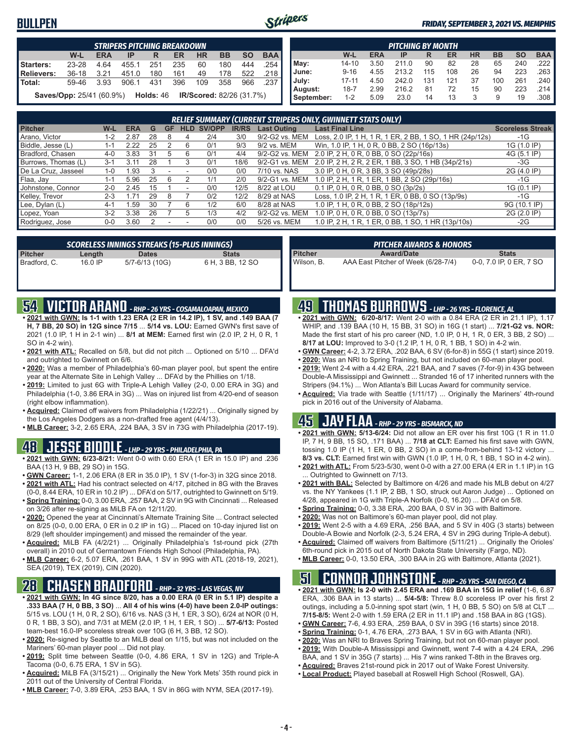#### **BULLPEN**



#### *FRIDAY, SEPTEMBER 3, 2021 VS. MEMPHIS*

|                                                                                        | STRIPERS PITCHING BREAKDOWN |            |       |     |     |     |           |           |            |  |  |  |
|----------------------------------------------------------------------------------------|-----------------------------|------------|-------|-----|-----|-----|-----------|-----------|------------|--|--|--|
|                                                                                        | W-L                         | <b>ERA</b> | IP    | R   | ER  | HR  | <b>BB</b> | <b>SO</b> | <b>BAA</b> |  |  |  |
| Starters:                                                                              | 23-28                       | 4.64       | 455.1 | 251 | 235 | 60  | 180       | 444       | .254       |  |  |  |
| Relievers:                                                                             | $36-18$                     | 3.21       | 451.0 | 180 | 161 | 49  | 178       | 522       | 218        |  |  |  |
| <b>Total:</b>                                                                          | 59-46                       | 3.93       | 906.1 | 431 | 396 | 109 | 358       | 966       | .237       |  |  |  |
| <b>IR/Scored:</b> 82/26 (31.7%)<br><b>Holds: 46</b><br><b>Saves/Opp: 25/41 (60.9%)</b> |                             |            |       |     |     |     |           |           |            |  |  |  |

|            | <b>PITCHING BY MONTH</b> |            |       |     |     |           |           |           |            |  |  |  |  |
|------------|--------------------------|------------|-------|-----|-----|-----------|-----------|-----------|------------|--|--|--|--|
|            | W-L                      | <b>ERA</b> | IP    | R   | ER  | <b>HR</b> | <b>BB</b> | <b>SO</b> | <b>BAA</b> |  |  |  |  |
| May:       | $14 - 10$                | 3.50       | 211.0 | 90  | 82  | 28        | 65        | 240       | .222       |  |  |  |  |
| June:      | $9 - 16$                 | 4.55       | 213.2 | 115 | 108 | 26        | 94        | 223       | .263       |  |  |  |  |
| July:      | $17 - 11$                | 4.50       | 242.0 | 131 | 121 | 37        | 100       | 261       | .240       |  |  |  |  |
| August:    | $18 - 7$                 | 2.99       | 216.2 | 81  | 72  | 15        | 90        | 223       | .214       |  |  |  |  |
| September: | $1 - 2$                  | 5.09       | 23.0  | 14  | 13  | 3         | 9         | 19        | .308       |  |  |  |  |

|                     | <b>RELIEF SUMMARY (CURRENT STRIPERS ONLY, GWINNETT STATS ONLY)</b> |            |    |    |            |        |              |                    |                                                          |                         |  |
|---------------------|--------------------------------------------------------------------|------------|----|----|------------|--------|--------------|--------------------|----------------------------------------------------------|-------------------------|--|
| <b>Pitcher</b>      | W-L                                                                | <b>ERA</b> | G  | GF | <b>HLD</b> | SV/OPP | <b>IR/RS</b> | <b>Last Outing</b> | <b>Last Final Line</b>                                   | <b>Scoreless Streak</b> |  |
| Arano, Victor       | 1-2                                                                | 2.87       | 28 | 8  | 4          | 2/4    | 3/0          | 9/2-G2 vs. MEM     | Loss, 2.0 IP, 1 H, 1 R, 1 ER, 2 BB, 1 SO, 1 HR (24p/12s) | $-1G$                   |  |
| Biddle, Jesse (L)   | $1 - 1$                                                            | 2.22       | 25 |    | 6          | 0/1    | 9/3          | 9/2 vs. MEM        | Win, 1.0 IP, 1 H, 0 R, 0 BB, 2 SO (16p/13s)              | 1G (1.0 IP)             |  |
| Bradford, Chasen    | $4 - 0$                                                            | 3.83       | 31 |    | 6          | 0/1    | 4/4          | 9/2-G2 vs. MEM     | 2.0 IP, 2 H, 0 R, 0 BB, 0 SO (22p/16s)                   | 4G (5.1 IP)             |  |
| Burrows, Thomas (L) | $3 - 1$                                                            | 3.11       | 28 |    |            | 0/1    | 18/6         | 9/2-G1 vs. MEM     | 2.0 IP, 2 H, 2 R, 2 ER, 1 BB, 3 SO, 1 HB (34p/21s)       | $-3G$                   |  |
| De La Cruz, Jasseel | $1 - 0$                                                            | .93        |    |    |            | 0/0    | 0/0          | 7/10 vs. NAS       | 3.0 IP, 0 H, 0 R, 3 BB, 3 SO (49p/28s)                   | 2G (4.0 IP)             |  |
| Flaa, Jay           | $1 - 1$                                                            | 5.96       | 25 | 6  |            | 1/1    | 2/0          | 9/2-G1 vs. MEM     | 1.0 IP, 2 H, 1 R, 1 ER, 1 BB, 2 SO (29p/16s)             | -1G                     |  |
| Johnstone, Connor   | $2 - 0$                                                            | 2.45       | 15 |    |            | 0/0    | 12/5         | 8/22 at LOU        | 0.1 IP, 0 H, 0 R, 0 BB, 0 SO (3p/2s)                     | 1G (0.1 IP)             |  |
| Kelley, Trevor      | $2 - 3$                                                            | 71،        | 29 | 8  |            | 0/2    | 12/2         | 8/29 at NAS        | Loss, 1.0 IP, 2 H, 1 R, 1 ER, 0 BB, 0 SO (13p/9s)        | -1G                     |  |
| Lee, Dylan (L)      | $4 - 1$                                                            | .59        | 30 |    | 6          | 1/2    | 6/0          | 8/28 at NAS        | 1.0 IP, 1 H, 0 R, 0 BB, 2 SO (18p/12s)                   | 9G (10.1 IP)            |  |
| Lopez, Yoan         | $3 - 2$                                                            | 3.38       | 26 |    |            | 1/3    | 4/2          | 9/2-G2 vs. MEM     | 1.0 IP, 0 H, 0 R, 0 BB, 0 SO (13p/7s)                    | 2G (2.0 IP)             |  |
| Rodriguez, Jose     | $0-0$                                                              | 3.60       |    |    |            | 0/0    | 0/0          | 5/26 vs. MEM       | 1.0 IP, 2 H, 1 R, 1 ER, 0 BB, 1 SO, 1 HR (13p/10s)       | $-2G$                   |  |
|                     |                                                                    |            |    |    |            |        |              |                    |                                                          |                         |  |

|              |           | SCORELESS INNINGS STREAKS (15-PLUS INNINGS) |                  |
|--------------|-----------|---------------------------------------------|------------------|
| Pitcher      | Length    | <b>Dates</b>                                | <b>Stats</b>     |
| Bradford, C. | $16.0$ IP | 5/7-6/13 (10G)                              | 6 H, 3 BB, 12 SO |

|         | <b>PITCHER AWARDS &amp; HONORS</b> |              |
|---------|------------------------------------|--------------|
| Pitcher | <b>Award/Date</b>                  | <b>Stats</b> |

Wilson, B. AAA East Pitcher of Week (6/28-7/4) 0-0, 7.0 IP, 0 ER, 7 SO

### **54 VICTOR ARANO** *- RHP - 26 YRS - COSAMALOAPAN, MEXICO*

- **• 2021 with GWN: Is 1-1 with 1.23 ERA (2 ER in 14.2 IP), 1 SV, and .149 BAA (7 H, 7 BB, 20 SO) in 12G since 7/15** ... **5/14 vs. LOU:** Earned GWN's first save of 2021 (1.0 IP, 1 H in 2-1 win) ... **8/1 at MEM:** Earned first win (2.0 IP, 2 H, 0 R, 1 SO in 4-2 win).
- **• 2021 with ATL:** Recalled on 5/8, but did not pitch ... Optioned on 5/10 ... DFA'd and outrighted to Gwinnett on 6/6.
- **• 2020:** Was a member of Philadelphia's 60-man player pool, but spent the entire year at the Alternate Site in Lehigh Valley ... DFA'd by the Phillies on 1/18.
- **• 2019:** Limited to just 6G with Triple-A Lehigh Valley (2-0, 0.00 ERA in 3G) and Philadelphia (1-0, 3.86 ERA in 3G) ... Was on injured list from 4/20-end of season (right elbow inflammation).
- **• Acquired:** Claimed off waivers from Philadelphia (1/22/21) ... Originally signed by the Los Angeles Dodgers as a non-drafted free agent (4/4/13).
- **• MLB Career:** 3-2, 2.65 ERA, .224 BAA, 3 SV in 73G with Philadelphia (2017-19).

#### **48 JESSE BIDDLE** *- LHP - 29 YRS - PHILADELPHIA, PA*

- **• 2021 with GWN: 6/23-8/21:** Went 0-0 with 0.60 ERA (1 ER in 15.0 IP) and .236 BAA (13 H, 9 BB, 29 SO) in 15G.
- **• GWN Career:** 1-1, 2.06 ERA (8 ER in 35.0 IP), 1 SV (1-for-3) in 32G since 2018. **• 2021 with ATL:** Had his contract selected on 4/17, pitched in 8G with the Braves
- (0-0, 8.44 ERA, 10 ER in 10.2 IP) ... DFA'd on 5/17, outrighted to Gwinnett on 5/19. **• Spring Training:** 0-0, 3.00 ERA, .257 BAA, 2 SV in 9G with Cincinnati ... Released on 3/26 after re-signing as MiLB FA on 12/11/20.
- **• 2020:** Opened the year at Cincinnati's Alternate Training Site ... Contract selected on 8/25 (0-0, 0.00 ERA, 0 ER in 0.2 IP in 1G) ... Placed on 10-day injured list on 8/29 (left shoulder impingement) and missed the remainder of the year.
- **• Acquired:** MiLB FA (4/2/21) ... Originally Philadelphia's 1st-round pick (27th overall) in 2010 out of Germantown Friends High School (Philadelphia, PA).
- **• MLB Career:** 6-2, 5.07 ERA, .261 BAA, 1 SV in 99G with ATL (2018-19, 2021), SEA (2019), TEX (2019), CIN (2020).

# **28 CHASEN BRADFORD** *- RHP - 32 YRS - LAS VEGAS, NV*

- **• 2021 with GWN: In 4G since 8/20, has a 0.00 ERA (0 ER in 5.1 IP) despite a .333 BAA (7 H, 0 BB, 3 SO)** ... **All 4 of his wins (4-0) have been 2.0-IP outings:** 5/15 vs. LOU (1 H, 0 R, 2 SO), 6/16 vs. NAS (3 H, 1 ER, 3 SO), 6/24 at NOR (0 H, 0 R, 1 BB, 3 SO), and 7/31 at MEM (2.0 IP, 1 H, 1 ER, 1 SO) ... **5/7-6/13:** Posted team-best 16.0-IP scoreless streak over 10G (6 H, 3 BB, 12 SO).
- **• 2020:** Re-signed by Seattle to an MiLB deal on 1/15, but was not included on the Mariners' 60-man player pool ... Did not play.
- **• 2019:** Split time between Seattle (0-0, 4.86 ERA, 1 SV in 12G) and Triple-A Tacoma (0-0, 6.75 ERA, 1 SV in 5G).
- **• Acquired:** MiLB FA (3/15/21) ... Originally the New York Mets' 35th round pick in 2011 out of the University of Central Florida.
- **• MLB Career:** 7-0, 3.89 ERA, .253 BAA, 1 SV in 86G with NYM, SEA (2017-19).

### **49 THOMAS BURROWS** *- LHP - 26 YRS - FLORENCE, AL*

- **• 2021 with GWN: 6/20-8/17:** Went 2-0 with a 0.84 ERA (2 ER in 21.1 IP), 1.17 WHIP, and .139 BAA (10 H, 15 BB, 31 SO) in 16G (1 start) ... **7/21-G2 vs. NOR:** Made the first start of his pro career (ND, 1.0 IP, 0 H, 1 R, 0 ER, 3 BB, 2 SO) ... **8/17 at LOU:** Improved to 3-0 (1.2 IP, 1 H, 0 R, 1 BB, 1 SO) in 4-2 win.
- **• GWN Career:** 4-2, 3.72 ERA, .202 BAA, 6 SV (6-for-8) in 55G (1 start) since 2019.
- **• 2020:** Was an NRI to Spring Training, but not included on 60-man player pool. **• 2019:** Went 2-4 with a 4.42 ERA, .221 BAA, and 7 saves (7-for-9) in 43G between Double-A Mississippi and Gwinnett ... Stranded 16 of 17 inherited runners with the
- Stripers (94.1%) ... Won Atlanta's Bill Lucas Award for community service. **• Acquired:** Via trade with Seattle (1/11/17) ... Originally the Mariners' 4th-round pick in 2016 out of the University of Alabama.

# **45 JAY FLAA** *- RHP - 29 YRS - BISMARCK, ND*

- **• 2021 with GWN: 5/13-6/24:** Did not allow an ER over his first 10G (1 R in 11.0 IP, 7 H, 9 BB, 15 SO, .171 BAA) ... **7/18 at CLT:** Earned his first save with GWN, tossing 1.0 IP (1 H, 1 ER, 0 BB, 2 SO) in a come-from-behind 13-12 victory ... **8/3 vs. CLT:** Earned first win with GWN (1.0 IP, 1 H, 0 R, 1 BB, 1 SO in 4-2 win).
- **• 2021 with ATL:** From 5/23-5/30, went 0-0 with a 27.00 ERA (4 ER in 1.1 IP) in 1G ... Outrighted to Gwinnett on 7/13.
- **• 2021 with BAL:** Selected by Baltimore on 4/26 and made his MLB debut on 4/27 vs. the NY Yankees (1.1 IP, 2 BB, 1 SO, struck out Aaron Judge) ... Optioned on 4/28, appeared in 1G with Triple-A Norfolk (0-0, 16.20) ... DFA'd on 5/8.
- **• Spring Training:** 0-0, 3.38 ERA, .200 BAA, 0 SV in 3G with Baltimore.
- **• 2020:** Was not on Baltimore's 60-man player pool, did not play.
- **• 2019:** Went 2-5 with a 4.69 ERA, .256 BAA, and 5 SV in 40G (3 starts) between Double-A Bowie and Norfolk (2-3, 5.24 ERA, 4 SV in 29G during Triple-A debut).
- **• Acquired:** Claimed off waivers from Baltimore (5/11/21) ... Originally the Orioles' 6th-round pick in 2015 out of North Dakota State University (Fargo, ND).
- **• MLB Career:** 0-0, 13.50 ERA, .300 BAA in 2G with Baltimore, Atlanta (2021).

#### **51 CONNOR JOHNSTONE** *- RHP - 26 YRS - SAN DIEGO, CA*

- **• 2021 with GWN: Is 2-0 with 2.45 ERA and .169 BAA in 15G in relief** (1-6, 6.87 ERA, .306 BAA in 13 starts) ... **5/4-5/8:** Threw 8.0 scoreless IP over his first 2 outings, including a 5.0-inning spot start (win, 1 H, 0 BB, 5 SO) on 5/8 at CLT ... **7/15-8/5:** Went 2-0 with 1.59 ERA (2 ER in 11.1 IP) and .158 BAA in 8G (1GS).
- **• GWN Career:** 7-6, 4.93 ERA, .259 BAA, 0 SV in 39G (16 starts) since 2018.
- **• Spring Training:** 0-1, 4.76 ERA, .273 BAA, 1 SV in 6G with Atlanta (NRI).
- **• 2020:** Was an NRI to Braves Spring Training, but not on 60-man player pool.
- **• 2019:** With Double-A Mississippi and Gwinnett, went 7-4 with a 4.24 ERA, .296
- BAA, and 1 SV in 35G (7 starts) ... His 7 wins ranked T-8th in the Braves org.
- **• Acquired:** Braves 21st-round pick in 2017 out of Wake Forest University.
- **• Local Product:** Played baseball at Roswell High School (Roswell, GA).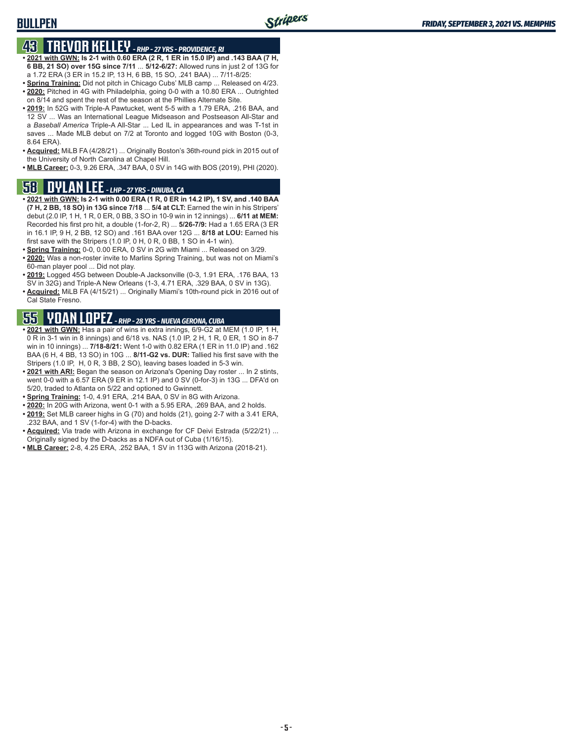#### **BULLPEN**

# **43 TREVOR KELLEY** *- RHP - 27 YRS - PROVIDENCE, RI*

- **• 2021 with GWN: Is 2-1 with 0.60 ERA (2 R, 1 ER in 15.0 IP) and .143 BAA (7 H, 6 BB, 21 SO) over 15G since 7/11** ... **5/12-6/27:** Allowed runs in just 2 of 13G for a 1.72 ERA (3 ER in 15.2 IP, 13 H, 6 BB, 15 SO, .241 BAA) ... 7/11-8/25:
- **• Spring Training:** Did not pitch in Chicago Cubs' MLB camp ... Released on 4/23. **• 2020:** Pitched in 4G with Philadelphia, going 0-0 with a 10.80 ERA ... Outrighted on 8/14 and spent the rest of the season at the Phillies Alternate Site.
- **• 2019:** In 52G with Triple-A Pawtucket, went 5-5 with a 1.79 ERA, .216 BAA, and 12 SV ... Was an International League Midseason and Postseason All-Star and a *Baseball America* Triple-A All-Star ... Led IL in appearances and was T-1st in saves ... Made MLB debut on 7/2 at Toronto and logged 10G with Boston (0-3, 8.64 ERA).
- **• Acquired:** MiLB FA (4/28/21) ... Originally Boston's 36th-round pick in 2015 out of the University of North Carolina at Chapel Hill.
- **• MLB Career:** 0-3, 9.26 ERA, .347 BAA, 0 SV in 14G with BOS (2019), PHI (2020).

#### **58 DYLAN LEE** *- LHP - 27 YRS - DINUBA, CA*

- **• 2021 with GWN: Is 2-1 with 0.00 ERA (1 R, 0 ER in 14.2 IP), 1 SV, and .140 BAA (7 H, 2 BB, 18 SO) in 13G since 7/18** ... **5/4 at CLT:** Earned the win in his Stripers' debut (2.0 IP, 1 H, 1 R, 0 ER, 0 BB, 3 SO in 10-9 win in 12 innings) ... **6/11 at MEM:** Recorded his first pro hit, a double (1-for-2, R) ... **5/26-7/9:** Had a 1.65 ERA (3 ER in 16.1 IP, 9 H, 2 BB, 12 SO) and .161 BAA over 12G ... **8/18 at LOU:** Earned his first save with the Stripers (1.0 IP, 0 H, 0 R, 0 BB, 1 SO in 4-1 win).
- **• Spring Training:** 0-0, 0.00 ERA, 0 SV in 2G with Miami ... Released on 3/29.
- **• 2020:** Was a non-roster invite to Marlins Spring Training, but was not on Miami's 60-man player pool ... Did not play.
- **• 2019:** Logged 45G between Double-A Jacksonville (0-3, 1.91 ERA, .176 BAA, 13 SV in 32G) and Triple-A New Orleans (1-3, 4.71 ERA, .329 BAA, 0 SV in 13G).
- **• Acquired:** MiLB FA (4/15/21) ... Originally Miami's 10th-round pick in 2016 out of Cal State Fresno.

# **55 YOAN LOPEZ** *- RHP - 28 YRS - NUEVA GERONA, CUBA*

- **• 2021 with GWN:** Has a pair of wins in extra innings, 6/9-G2 at MEM (1.0 IP, 1 H, 0 R in 3-1 win in 8 innings) and 6/18 vs. NAS (1.0 IP, 2 H, 1 R, 0 ER, 1 SO in 8-7 win in 10 innings) ... **7/18-8/21:** Went 1-0 with 0.82 ERA (1 ER in 11.0 IP) and .162 BAA (6 H, 4 BB, 13 SO) in 10G ... **8/11-G2 vs. DUR:** Tallied his first save with the Stripers (1.0 IP, H, 0 R, 3 BB, 2 SO), leaving bases loaded in 5-3 win.
- **• 2021 with ARI:** Began the season on Arizona's Opening Day roster ... In 2 stints, went 0-0 with a 6.57 ERA (9 ER in 12.1 IP) and 0 SV (0-for-3) in 13G ... DFA'd on 5/20, traded to Atlanta on 5/22 and optioned to Gwinnett.
- **• Spring Training:** 1-0, 4.91 ERA, .214 BAA, 0 SV in 8G with Arizona.
- **• 2020:** In 20G with Arizona, went 0-1 with a 5.95 ERA, .269 BAA, and 2 holds.
- **• 2019:** Set MLB career highs in G (70) and holds (21), going 2-7 with a 3.41 ERA, .232 BAA, and 1 SV (1-for-4) with the D-backs.
- **• Acquired:** Via trade with Arizona in exchange for CF Deivi Estrada (5/22/21) ... Originally signed by the D-backs as a NDFA out of Cuba (1/16/15).
- **• MLB Career:** 2-8, 4.25 ERA, .252 BAA, 1 SV in 113G with Arizona (2018-21).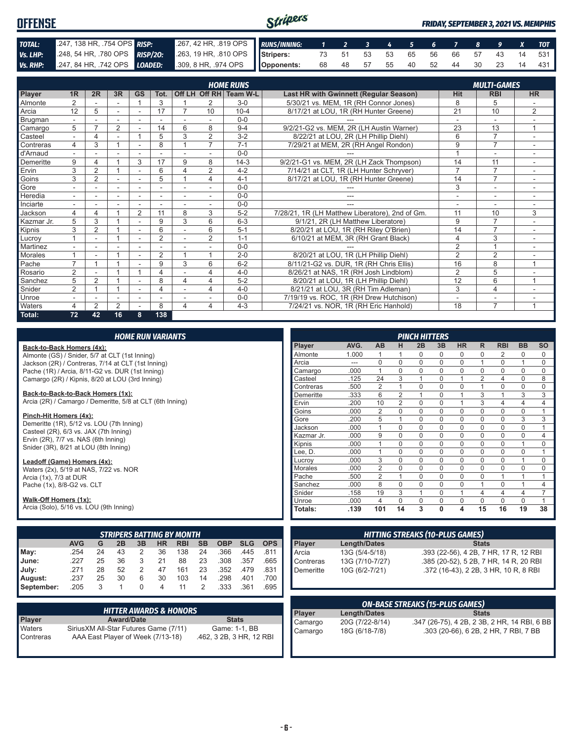| <b>OFFENSE</b> |                            |                                                                                              | Stripers |  |  |  |  |  | <b>FRIDAY, SEPTEMBER 3, 2021 VS. MEMPHIS</b> |
|----------------|----------------------------|----------------------------------------------------------------------------------------------|----------|--|--|--|--|--|----------------------------------------------|
| TOTAL:         | 247, 138 HR, 754 OPS RISP: | 267, 42 HR, .819 OPS RUNS/INNING: 1 2 3 4 5 6 7 8 9 X TOT                                    |          |  |  |  |  |  |                                              |
| Vs. LHP:       |                            | 248, 54 HR, 780 OPS RISP/20: 263, 19 HR, 810 OPS Stripers: 73 51 53 53 65 56 66 57 43 14 531 |          |  |  |  |  |  |                                              |
|                |                            | Vs. RHP: 247, 84 HR, 742 OPS LOADED: 309, 8 HR, 974 OPS   Opponents:                         |          |  |  |  |  |  | 68 48 57 55 40 52 44 30 23 14 431            |

|            |                |                |                |           |                |                |                | <b>HOME RUNS</b>       |                                                 |                          | <b>MULTI-GAMES</b>       |                          |
|------------|----------------|----------------|----------------|-----------|----------------|----------------|----------------|------------------------|-------------------------------------------------|--------------------------|--------------------------|--------------------------|
| Player     | 1R             | 2R             | 3R             | <b>GS</b> | Tot.           |                |                | Off LH Off RH Team W-L | <b>Last HR with Gwinnett (Regular Season)</b>   | <b>Hit</b>               | <b>RBI</b>               | <b>HR</b>                |
| Almonte    | $\overline{2}$ |                | ٠              |           | 3              |                |                | $3-0$                  | 5/30/21 vs. MEM. 1R (RH Connor Jones)           | 8                        | 5                        |                          |
| Arcia      | 12             | 5              | ٠              |           | 17             | $\overline{7}$ | 10             | $10 - 4$               | 8/17/21 at LOU, 1R (RH Hunter Greene)           | $\overline{21}$          | 10                       | 2                        |
| Brugman    |                |                |                |           |                |                |                | $0 - 0$                |                                                 | $\overline{\phantom{a}}$ | $\overline{\phantom{a}}$ |                          |
| Camargo    | 5              |                | $\overline{2}$ |           | 14             | 6              | 8              | $9 - 4$                | 9/2/21-G2 vs. MEM, 2R (LH Austin Warner)        | 23                       | 13                       | $\overline{A}$           |
| Casteel    | $\sim$         | 4              |                |           | 5              | 3              | $\overline{2}$ | $3 - 2$                | 8/22/21 at LOU, 2R (LH Phillip Diehl)           | 6                        | $\overline{7}$           | ۰                        |
| Contreras  | 4              | 3              |                |           | 8              |                | $\overline{7}$ | $7 - 1$                | 7/29/21 at MEM, 2R (RH Angel Rondon)            | 9                        | $\overline{7}$           | ٠                        |
| d'Arnaud   |                |                |                |           |                |                |                | $0 - 0$                |                                                 |                          | $\sim$                   |                          |
| Demeritte  | 9              | 4              |                | 3         | 17             | 9              | 8              | $14-3$                 | 9/2/21-G1 vs. MEM, 2R (LH Zack Thompson)        | 14                       | 11                       | $\overline{\phantom{a}}$ |
| Ervin      | 3              | $\overline{2}$ |                |           | 6              | $\Delta$       | 2              | $4 - 2$                | 7/14/21 at CLT, 1R (LH Hunter Schryver)         | $\overline{7}$           | $\overline{7}$           |                          |
| Goins      | 3              | $\overline{2}$ | ÷.             | ٠         | 5              |                | 4              | $4 - 1$                | 8/17/21 at LOU, 1R (RH Hunter Greene)           | 14                       | $\overline{7}$           | ٠.                       |
| Gore       |                |                |                |           |                |                |                | $0 - 0$                |                                                 | 3                        | ٠                        |                          |
| Heredia    |                |                |                |           | ٠              |                |                | $0 - 0$                |                                                 | ٠                        | $\overline{\phantom{a}}$ |                          |
| Inciarte   |                |                |                | ۰         |                |                |                | $0 - 0$                |                                                 | ٠                        | ۰                        |                          |
| Jackson    | 4              | 4              |                | 2         | 11             | 8              | 3              | $5 - 2$                | 7/28/21, 1R (LH Matthew Liberatore), 2nd of Gm. | 11                       | 10                       | 3                        |
| Kazmar Jr. | 5              | 3              |                | ۰         | 9              | 3              | 6              | $6 - 3$                | 9/1/21, 2R (LH Matthew Liberatore)              | 9                        | $\overline{7}$           |                          |
| Kipnis     | 3              | $\overline{2}$ |                |           | 6              |                | 6              | $5 - 1$                | 8/20/21 at LOU, 1R (RH Riley O'Brien)           | 14                       | $\overline{7}$           |                          |
| Lucrov     |                |                |                |           | $\overline{2}$ |                | $\overline{2}$ | $1 - 1$                | 6/10/21 at MEM, 3R (RH Grant Black)             | $\overline{4}$           | 3                        | ÷                        |
| Martinez   |                |                |                |           |                |                |                | $0 - 0$                |                                                 | $\overline{2}$           |                          |                          |
| Morales    |                |                |                |           | 2              |                |                | $2 - 0$                | 8/20/21 at LOU, 1R (LH Phillip Diehl)           | $\overline{2}$           | $\overline{2}$           |                          |
| Pache      | $\overline{7}$ |                |                |           | 9              | 3              | 6              | $6 - 2$                | 8/11/21-G2 vs. DUR, 1R (RH Chris Ellis)         | 16                       | 8                        | 1                        |
| Rosario    | 2              |                |                |           | $\overline{4}$ |                | 4              | $4 - 0$                | 8/26/21 at NAS, 1R (RH Josh Lindblom)           | 2                        | 5                        |                          |
| Sanchez    | 5              | $\overline{2}$ |                |           | 8              | 4              | 4              | $5-2$                  | 8/20/21 at LOU, 1R (LH Phillip Diehl)           | 12                       | 6                        |                          |
| Snider     | $\overline{2}$ |                |                |           | $\overline{4}$ |                | 4              | $4 - 0$                | 8/21/21 at LOU, 3R (RH Tim Adleman)             | 3                        | $\overline{4}$           |                          |
| Unroe      |                |                | ۰              | ۰         |                |                |                | $0 - 0$                | 7/19/19 vs. ROC, 1R (RH Drew Hutchison)         | ٠                        | ۰                        |                          |
| Waters     | 4              | $\overline{2}$ | $\overline{2}$ |           | 8              | 4              | 4              | $4 - 3$                | 7/24/21 vs. NOR, 1R (RH Eric Hanhold)           | 18                       | $\overline{7}$           | $\overline{A}$           |
| Total:     | 72             | 42             | 16             | 8         | 138            |                |                |                        |                                                 |                          |                          |                          |

|       |                                                                               |    |    |    | <b>HOME RUN VARIANTS</b> |                                  |           |            |            |            |            |                     |                                        |                | <b>PINCH HITTERS</b> |              |           |                |                                        |                |                |
|-------|-------------------------------------------------------------------------------|----|----|----|--------------------------|----------------------------------|-----------|------------|------------|------------|------------|---------------------|----------------------------------------|----------------|----------------------|--------------|-----------|----------------|----------------------------------------|----------------|----------------|
|       | Back-to-Back Homers (4x):                                                     |    |    |    |                          |                                  |           |            |            |            | Player     | AVG.                | AB                                     | н              | 2B                   | 3B           | <b>HR</b> | R              | <b>RBI</b>                             | <b>BB</b>      | <b>SO</b>      |
|       | Almonte (GS) / Snider, 5/7 at CLT (1st Inning)                                |    |    |    |                          |                                  |           |            |            |            | Almonte    | 1.000               |                                        |                | 0                    | $\mathbf 0$  | 0         | 0              | 2                                      | 0              | 0              |
|       | Jackson (2R) / Contreras, 7/14 at CLT (1st Inning)                            |    |    |    |                          |                                  |           |            |            |            | Arcia      | $---$               | $\mathbf 0$                            | $\Omega$       | $\Omega$             | $\Omega$     | $\Omega$  | $\mathbf{1}$   | $\Omega$                               | $\mathbf{1}$   | $\Omega$       |
|       | Pache (1R) / Arcia, 8/11-G2 vs. DUR (1st Inning)                              |    |    |    |                          |                                  |           |            |            |            | Camargo    | .000                | 1                                      | 0              | $\Omega$             | $\mathbf 0$  | 0         | $\mathbf 0$    | 0                                      | $\mathbf 0$    | 0              |
|       | Camargo (2R) / Kipnis, 8/20 at LOU (3rd Inning)                               |    |    |    |                          |                                  |           |            |            |            | Casteel    | .125                | 24                                     | 3              |                      | $\Omega$     |           | 2              | 4                                      | $\Omega$       | 8              |
|       |                                                                               |    |    |    |                          |                                  |           |            |            |            | Contreras  | .500                | $\overline{2}$                         |                | 0                    | $\mathbf 0$  | 0         | $\mathbf{1}$   | 0                                      | $\mathbf 0$    | 0              |
|       | Back-to-Back-to-Back Homers (1x):                                             |    |    |    |                          |                                  |           |            |            |            | Demeritte  | .333                | 6                                      | 2              |                      | $\mathbf 0$  |           | 3              | $\mathbf 1$                            | 3              | 3              |
|       | Arcia (2R) / Camargo / Demeritte, 5/8 at CLT (6th Inning)                     |    |    |    |                          |                                  |           |            |            |            | Ervin      | .200                | 10                                     | $\overline{2}$ | 0                    | $\mathbf 0$  |           | 3              | 4                                      | $\overline{4}$ | 4              |
|       |                                                                               |    |    |    |                          |                                  |           |            |            |            | Goins      | .000                | $\overline{2}$                         | $\mathbf 0$    | 0                    | $\mathbf 0$  | 0         | $\mathbf 0$    | $\mathbf 0$                            | $\mathbf 0$    |                |
|       | Pinch-Hit Homers (4x):                                                        |    |    |    |                          |                                  |           |            |            |            | Gore       | .200                | 5                                      |                | 0                    | $\mathbf 0$  | 0         | $\mathbf 0$    | 0                                      | 3              | 3              |
|       | Demeritte (1R), 5/12 vs. LOU (7th Inning)                                     |    |    |    |                          |                                  |           |            |            |            | Jackson    | .000                | $\mathbf{1}$                           | 0              | 0                    | $\mathbf 0$  | 0         | $\mathbf 0$    | $\mathbf 0$                            | $\mathbf 0$    |                |
|       | Casteel (2R), 6/3 vs. JAX (7th Inning)                                        |    |    |    |                          |                                  |           |            |            |            | Kazmar Jr. | .000                | 9                                      | 0              | 0                    | $\mathbf 0$  | 0         | $\mathbf 0$    | 0                                      | $\mathbf 0$    | 4              |
|       | Ervin (2R), 7/7 vs. NAS (6th Inning)<br>Snider (3R), 8/21 at LOU (8th Inning) |    |    |    |                          |                                  |           |            |            |            | Kipnis     | .000                | $\mathbf{1}$                           | $\Omega$       | $\Omega$             | $\mathbf 0$  | 0         | $\mathbf 0$    | $\mathbf 0$                            | $\mathbf{1}$   | 0              |
|       |                                                                               |    |    |    |                          |                                  |           |            |            |            | Lee, D.    | .000                | $\mathbf{1}$                           | $\Omega$       | $\Omega$             | $\mathbf 0$  | 0         | $\mathbf 0$    | $\Omega$                               | $\mathbf 0$    |                |
|       | Leadoff (Game) Homers (4x):                                                   |    |    |    |                          |                                  |           |            |            |            | Lucrov     | .000                | 3                                      | 0              | 0                    | $\mathbf 0$  | 0         | 0              | 0                                      | $\mathbf{1}$   | 0              |
|       | Waters (2x), 5/19 at NAS, 7/22 vs. NOR                                        |    |    |    |                          |                                  |           |            |            |            | Morales    | .000                | $\overline{2}$                         | $\Omega$       | $\Omega$             | $\mathbf 0$  | 0         | $\mathbf 0$    | $\Omega$                               | $\mathbf 0$    | 0              |
|       | Arcia $(1x)$ , $7/3$ at DUR                                                   |    |    |    |                          |                                  |           |            |            |            | Pache      | .500                | $\overline{2}$                         |                | 0                    | $\mathbf 0$  | 0         | $\mathsf 0$    |                                        | 1              |                |
|       | Pache (1x), 8/8-G2 vs. CLT                                                    |    |    |    |                          |                                  |           |            |            |            | Sanchez    | .000                | 8                                      | $\mathbf 0$    | 0                    | $\mathbf 0$  | 0         | $\overline{1}$ | 0                                      | $\mathbf{1}$   | 4              |
|       |                                                                               |    |    |    |                          |                                  |           |            |            |            | Snider     | .158                | 19                                     | 3              |                      | $\mathbf 0$  |           | $\overline{4}$ | 4                                      | $\overline{4}$ | $\overline{7}$ |
|       | Walk-Off Homers (1x):                                                         |    |    |    |                          |                                  |           |            |            |            | Unroe      | .000                | 4                                      | $\mathbf 0$    | 0                    | 0            | 0         | $\mathbf 0$    | $\Omega$                               | 0              |                |
|       | Arcia (Solo), 5/16 vs. LOU (9th Inning)                                       |    |    |    |                          |                                  |           |            |            |            | Totals:    | .139                | 101                                    | 14             | 3                    | $\mathbf{0}$ | 4         | 15             | 16                                     | 19             | 38             |
|       |                                                                               |    |    |    |                          |                                  |           |            |            |            |            |                     |                                        |                |                      |              |           |                |                                        |                |                |
|       |                                                                               |    |    |    |                          | <b>STRIPERS BATTING BY MONTH</b> |           |            |            |            |            |                     | <b>HITTING STREAKS (10-PLUS GAMES)</b> |                |                      |              |           |                |                                        |                |                |
|       | <b>AVG</b>                                                                    | G  | 2B | 3B | <b>HR</b>                | <b>RBI</b>                       | <b>SB</b> | <b>OBP</b> | <b>SLG</b> | <b>OPS</b> | Player     | <b>Length/Dates</b> |                                        |                |                      |              |           | <b>Stats</b>   |                                        |                |                |
| May:  | .254                                                                          | 24 | 43 | 2  | 36                       | 138                              | 24        | .366       | .445       | .811       | Arcia      | 13G (5/4-5/18)      |                                        |                |                      |              |           |                | .393 (22-56), 4 2B, 7 HR, 17 R, 12 RBI |                |                |
| June: | .227                                                                          | 25 | 36 | 3  | 21                       | 88                               | 23        | .308       | .357       | .665       | Contreras  | 13G (7/10-7/27)     |                                        |                |                      |              |           |                | .385 (20-52), 5 2B, 7 HR, 14 R, 20 RBI |                |                |
| July: | .271                                                                          | 28 | 52 | 2  | 47                       | 161                              | 23        | .352       | .479       | .831       | Demeritte  | 10G (6/2-7/21)      |                                        |                |                      |              |           |                | .372 (16-43), 2 2B, 3 HR, 10 R, 8 RBI  |                |                |

|                     | <b>HITTER AWARDS &amp; HONORS</b>                                           |                                           |
|---------------------|-----------------------------------------------------------------------------|-------------------------------------------|
| <b>Player</b>       | <b>Award/Date</b>                                                           | <b>Stats</b>                              |
| Waters<br>Contreras | Sirius XM All-Star Futures Game (7/11)<br>AAA East Player of Week (7/13-18) | Game: 1-1, BB<br>.462, 3 2B, 3 HR, 12 RBI |

**August:** .237 25 30 6 30 103 14 .298 .401 .700 **September:** .205 3 1 0 4 11 2 .333 .361 .695

|         |                     | <b>ON-BASE STREAKS (15-PLUS GAMES)</b>       |
|---------|---------------------|----------------------------------------------|
| Player  | <b>Length/Dates</b> | <b>Stats</b>                                 |
| Camargo | 20G (7/22-8/14)     | .347 (26-75), 4 2B, 2 3B, 2 HR, 14 RBI, 6 BB |
| Camargo | 18G (6/18-7/8)      | .303 (20-66), 6 2B, 2 HR, 7 RBI, 7 BB        |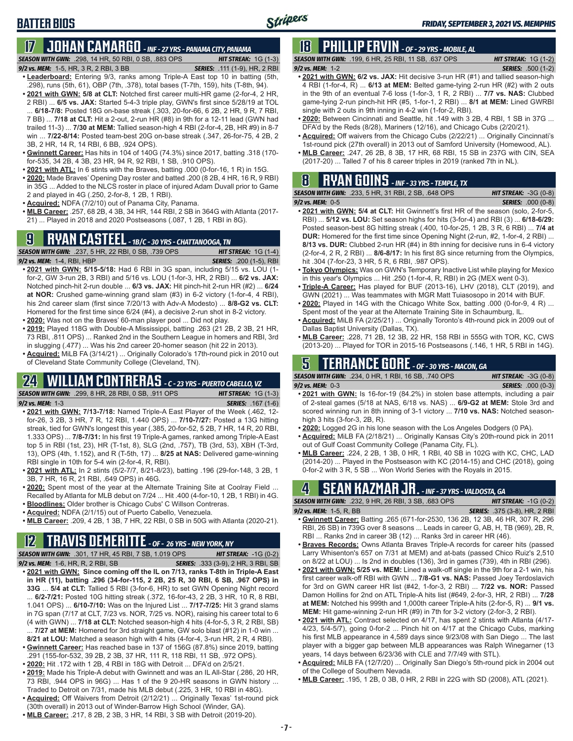# **BATTER BIOS**

# **17 JOHAN CAMARGO** *- INF - 27 YRS - PANAMA CITY, PANAMA*

*SEASON WITH GWN:*.298, 14 HR, 50 RBI, 0 SB, .883 OPS *HIT STREAK:* 1G (1-3)

- *9/2 vs. MEM:* 1-5, HR, 3 R, 2 RBI, 3 BB *SERIES:* .111 (1-9), HR, 2 RBI
- **• Leaderboard:** Entering 9/3, ranks among Triple-A East top 10 in batting (5th, .298), runs (5th, 61), OBP (7th, .378), total bases (T-7th, 159), hits (T-8th, 94). **• 2021 with GWN: 5/8 at CLT:** Notched first career multi-HR game (2-for-4, 2 HR,
- 2 RBI) ... **6/5 vs. JAX:** Started 5-4-3 triple play, GWN's first since 5/28/19 at TOL ... **6/18-7/8:** Posted 18G on-base streak (.303, 20-for-66, 6 2B, 2 HR, 9 R, 7 RBI, 7 BB) ... **7/18 at CLT:** Hit a 2-out, 2-run HR (#8) in 9th for a 12-11 lead (GWN had trailed 11-3) ... **7/30 at MEM:** Tallied season-high 4 RBI (2-for-4, 2B, HR #9) in 8-7 win ... **7/22-8/14:** Posted team-best 20G on-base streak (.347, 26-for-75, 4 2B, 2 3B, 2 HR, 14 R, 14 RBI, 6 BB, .924 OPS).
- **• Gwinnett Career:** Has hits in 104 of 140G (74.3%) since 2017, batting .318 (170 for-535, 34 2B, 4 3B, 23 HR, 94 R, 92 RBI, 1 SB, .910 OPS).
- **• 2021 with ATL:** In 6 stints with the Braves, batting .000 (0-for-16, 1 R) in 15G.
- **• 2020:** Made Braves' Opening Day roster and batted .200 (8 2B, 4 HR, 16 R, 9 RBI) in 35G ... Added to the NLCS roster in place of injured Adam Duvall prior to Game 2 and played in 4G (.250, 2-for-8, 1 2B, 1 RBI).
- **• Acquired:** NDFA (7/2/10) out of Panama City, Panama.
- **• MLB Career:** .257, 68 2B, 4 3B, 34 HR, 144 RBI, 2 SB in 364G with Atlanta (2017- 21) ... Played in 2018 and 2020 Postseasons (.087, 1 2B, 1 RBI in 8G).

### **9 RYAN CASTEEL** *- 1B/C - 30 YRS - CHATTANOOGA, TN*

*SEASON WITH GWN:*.237, 5 HR, 22 RBI, 0 SB, .739 OPS *HIT STREAK:* 1G (1-4) *9/2 vs. MEM:*1-4, RBI, HBP *SERIES:* .200 (1-5), RBI

- **• 2021 with GWN: 5/15-5/18:** Had 6 RBI in 3G span, including 5/15 vs. LOU (1 for-2, GW 3-run 2B, 3 RBI) and 5/16 vs. LOU (1-for-3, HR, 2 RBI) ... **6/2 vs. JAX:** Notched pinch-hit 2-run double ... **6/3 vs. JAX:** Hit pinch-hit 2-run HR (#2) ... **6/24 at NOR:** Crushed game-winning grand slam (#3) in 6-2 victory (1-for-4, 4 RBI), his 2nd career slam (first since 7/20/13 with Adv-A Modesto) ... **8/8-G2 vs. CLT:** Homered for the first time since 6/24 (#4), a decisive 2-run shot in 8-2 victory.
- **• 2020:** Was not on the Braves' 60-man player pool ... Did not play.
- **• 2019:** Played 118G with Double-A Mississippi, batting .263 (21 2B, 2 3B, 21 HR, 73 RBI, .811 OPS) ... Ranked 2nd in the Southern League in homers and RBI, 3rd in slugging (.477) ... Was his 2nd career 20-homer season (hit 22 in 2013).
- **• Acquired:** MiLB FA (3/14/21) ... Originally Colorado's 17th-round pick in 2010 out of Cleveland State Community College (Cleveland, TN).

# **24 WILLIAM CONTRERAS** *- C - 23 YRS - PUERTO CABELLO, VZ*

*SEASON WITH GWN:*.299, 8 HR, 28 RBI, 0 SB, .911 OPS *HIT STREAK:* 1G (1-3) *9/2 vs. MEM:* 1-3 *SERIES:* .167 (1-6)

- **• 2021 with GWN: 7/13-7/18:** Named Triple-A East Player of the Week (.462, 12-
	-
- for-26, 3 2B, 3 HR, 7 R, 12 RBI, 1.440 OPS) ... **7/10-7/27:** Posted a 13G hitting streak, tied for GWN's longest this year (.385, 20-for-52, 5 2B, 7 HR, 14 R, 20 RBI, 1.333 OPS) ... **7/8-7/31:** In his first 19 Triple-A games, ranked among Triple-A East top 5 in RBI (1st, 23), HR (T-1st, 8), SLG (2nd, .757), TB (3rd, 53), XBH (T-3rd, 13), OPS (4th, 1.152), and R (T-5th, 17) ... **8/25 at NAS:** Delivered game-winning RBI single in 10th for 5-4 win (2-for-4, R, RBI).
- **• 2021 with ATL:** In 2 stints (5/2-7/7, 8/21-8/23), batting .196 (29-for-148, 3 2B, 1 3B, 7 HR, 16 R, 21 RBI, .649 OPS) in 46G.
- **• 2020:** Spent most of the year at the Alternate Training Site at Coolray Field ... Recalled by Atlanta for MLB debut on 7/24 ... Hit .400 (4-for-10, 1 2B, 1 RBI) in 4G.
- **• Bloodlines:** Older brother is Chicago Cubs' C Willson Contreras.
- **• Acquired:** NDFA (2/1/15) out of Puerto Cabello, Venezuela.
- **• MLB Career:** .209, 4 2B, 1 3B, 7 HR, 22 RBI, 0 SB in 50G with Atlanta (2020-21).

### **12 TRAVIS DEMERITTE** *- OF - 26 YRS - NEW YORK, NY*

*SEASON WITH GWN:*.301, 17 HR, 45 RBI, 7 SB, 1.019 OPS *HIT STREAK:* -1G (0-2)

- *9/2 vs. MEM:*1-6, HR, R, 2 RBI, SB *SERIES:* .333 (3-9), 2 HR, 3 RBI, SB **• 2021 with GWN: Since coming off the IL on 7/13, ranks T-8th in Triple-A East in HR (11), batting .296 (34-for-115, 2 2B, 25 R, 30 RBI, 6 SB, .967 OPS) in 33G** ... **5/4 at CLT:** Tallied 5 RBI (3-for-6, HR) to set GWN Opening Night record ... **6/2-7/21:** Posted 10G hitting streak (.372, 16-for-43, 2 2B, 3 HR, 10 R, 8 RBI, 1.041 OPS) ... **6/10-7/10:** Was on the Injured List ... **7/17-7/25:** Hit 3 grand slams in 7G span (7/17 at CLT, 7/23 vs. NOR, 7/25 vs. NOR), raising his career total to 6 (4 with GWN) ... **7/18 at CLT:** Notched season-high 4 hits (4-for-5, 3 R, 2 RBI, SB)
- ... **7/27 at MEM:** Homered for 3rd straight game, GW solo blast (#12) in 1-0 win ... **8/21 at LOU:** Matched a season high with 4 hits (4-for-4, 3-run HR, 2 R, 4 RBI). **• Gwinnett Career:** Has reached base in 137 of 156G (87.8%) since 2019, batting
- .291 (155-for-532, 39 2B, 2 3B, 37 HR, 111 R, 118 RBI, 11 SB, .972 OPS). **• 2020:** Hit .172 with 1 2B, 4 RBI in 18G with Detroit ... DFA'd on 2/5/21.
- **• 2019:** Made his Triple-A debut with Gwinnett and was an IL All-Star (.286, 20 HR, 73 RBI, .944 OPS in 96G) ... Has 1 of the 9 20-HR seasons in GWN history Traded to Detroit on 7/31, made his MLB debut (.225, 3 HR, 10 RBI in 48G).
- **• Acquired:** Off Waivers from Detroit (2/12/21) ... Originally Texas' 1st-round pick (30th overall) in 2013 out of Winder-Barrow High School (Winder, GA).
- **• MLB Career:** .217, 8 2B, 2 3B, 3 HR, 14 RBI, 3 SB with Detroit (2019-20).

# **18 PHILLIP ERVIN** *- OF - 29 YRS - MOBILE, AL*

*SEASON WITH GWN:*.199, 6 HR, 25 RBI, 11 SB, .637 OPS *HIT STREAK:* 1G (1-2) *9/2 vs. MEM:*1-2 *SERIES:* .500 (1-2)

- **• 2021 with GWN: 6/2 vs. JAX:** Hit decisive 3-run HR (#1) and tallied season-high 4 RBI (1-for-4, R) ... **6/13 at MEM:** Belted game-tying 2-run HR (#2) with 2 outs in the 9th of an eventual 7-6 loss (1-for-3, 1 R, 2 RBI) ... **7/7 vs. NAS:** Clubbed game-tying 2-run pinch-hit HR (#5, 1-for-1, 2 RBI) ... **8/1 at MEM:** Lined GWRBI single with 2 outs in 9th inning in 4-2 win (1-for-2, RBI).
- **• 2020:** Between Cincinnati and Seattle, hit .149 with 3 2B, 4 RBI, 1 SB in 37G ... DFA'd by the Reds (8/28), Mariners (12/16), and Chicago Cubs (2/20/21).
- **• Acquired:** Off waivers from the Chicago Cubs (2/22/21) ... Originally Cincinnati's 1st-round pick (27th overall) in 2013 out of Samford University (Homewood, AL).
- **• MLB Career:** .247, 26 2B, 8 3B, 17 HR, 68 RBI, 15 SB in 237G with CIN, SEA (2017-20) ... Talled 7 of his 8 career triples in 2019 (ranked 7th in NL).

#### **8 RYAN GOINS** *- INF - 33 YRS - TEMPLE, TX SEASON WITH GWN:*.233, 5 HR, 31 RBI, 2 SB, .648 OPS *HIT STREAK:* -3G (0-8)

*9/2 vs. MEM:*0-5 *SERIES:* .000 (0-8)

- **• 2021 with GWN: 5/4 at CLT:** Hit Gwinnett's first HR of the season (solo, 2-for-5, RBI) ... **5/12 vs. LOU:** Set season highs for hits (3-for-4) and RBI (3) ... **6/18-6/29:** Posted season-best 8G hitting streak (.400, 10-for-25, 1 2B, 3 R, 6 RBI) ... **7/4 at DUR:** Homered for the first time since Opening Night (2-run, #2, 1-for-4, 2 RBI) ... **8/13 vs. DUR:** Clubbed 2-run HR (#4) in 8th inning for decisive runs in 6-4 victory (2-for-4, 2 R, 2 RBI) ... **8/6-8/17:** In his first 8G since returning from the Olympics, hit .304 (7-for-23, 3 HR, 5 R, 6 RBI, .987 OPS).
- **• Tokyo Olympics:** Was on GWN's Temporary Inactive List while playing for Mexico in this year's Olympics ... Hit .250 (1-for-4, R, RBI) in 2G (MEX went 0-3).
- **• Triple-A Career:** Has played for BUF (2013-16), LHV (2018), CLT (2019), and GWN (2021) ... Was teammates with MGR Matt Tuiasosopo in 2014 with BUF.
- **• 2020:** Played in 14G with the Chicago White Sox, batting .000 (0-for-9, 4 R) ... Spent most of the year at the Alternate Training Site in Schaumburg, IL.
- **• Acquired:** MiLB FA (2/25/21) ... Originally Toronto's 4th-round pick in 2009 out of Dallas Baptist University (Dallas, TX).
- **• MLB Career:** .228, 71 2B, 12 3B, 22 HR, 158 RBI in 555G with TOR, KC, CWS (2013-20) ... Played for TOR in 2015-16 Postseasons (.146, 1 HR, 5 RBI in 14G).

### **5 TERRANCE GORE** *- OF - 30 YRS - MACON, GA*

*SEASON WITH GWN:*.234, 0 HR, 1 RBI, 16 SB, .740 OPS *HIT STREAK:* -3G (0-8) *9/2 vs. MEM:*0-3 *SERIES:* .000 (0-3)

- **• 2021 with GWN:** Is 16-for-19 (84.2%) in stolen base attempts, including a pair of 2-steal games (5/18 at NAS, 6/18 vs. NAS) ... **6/9-G2 at MEM:** Stole 3rd and scored winning run in 8th inning of 3-1 victory ... **7/10 vs. NAS:** Notched seasonhigh 3 hits (3-for-3, 2B, R).
- **• 2020:** Logged 2G in his lone season with the Los Angeles Dodgers (0 PA).
- **• Acquired:** MiLB FA (2/18/21) ... Originally Kansas City's 20th-round pick in 2011 out of Gulf Coast Community College (Panama City, FL).
- **• MLB Career:** .224, 2 2B, 1 3B, 0 HR, 1 RBI, 40 SB in 102G with KC, CHC, LAD (2014-20) ... Played in the Postseason with KC (2014-15) and CHC (2018), going 0-for-2 with 3 R, 5 SB ... Won World Series with the Royals in 2015.

### **4 SEAN KAZMAR JR.** *- INF - 37 YRS - VALDOSTA, GA*

*SEASON WITH GWN:*.232, 9 HR, 26 RBI, 3 SB, .683 OPS *HIT STREAK:* -1G (0-2)

- *9/2 vs. MEM:*1-5, R, BB *SERIES:* .375 (3-8), HR, 2 RBI **• Gwinnett Career:** Batting .265 (671-for-2530, 136 2B, 12 3B, 46 HR, 307 R, 296 RBI, 26 SB) in 739G over 8 seasons ... Leads in career G, AB, H, TB (969), 2B, R, RBI ... Ranks 2nd in career 3B (12) ... Ranks 3rd in career HR (46).
- **• Braves Records:** Owns Atlanta Braves Triple-A records for career hits (passed Larry Whisenton's 657 on 7/31 at MEM) and at-bats (passed Chico Ruiz's 2,510 on 8/22 at LOU) ... Is 2nd in doubles (136), 3rd in games (739), 4th in RBI (296).
- **• 2021 with GWN: 5/25 vs. MEM:** Lined a walk-off single in the 9th for a 2-1 win, his first career walk-off RBI with GWN ... **7/8-G1 vs. NAS:** Passed Joey Terdoslavich for 3rd on GWN career HR list (#42, 1-for-3, 2 RBI) ... **7/22 vs. NOR:** Passed Damon Hollins for 2nd on ATL Triple-A hits list (#649, 2-for-3, HR, 2 RBI) ... **7/28 at MEM:** Notched his 999th and 1,000th career Triple-A hits (2-for-5, R) ... **9/1 vs. MEM:** Hit game-winning 2-run HR (#9) in 7th for 3-2 victory (2-for-3, 2 RBI).
- **• 2021 with ATL:** Contract selected on 4/17, has spent 2 stints with Atlanta (4/17- 4/23, 5/4-5/7), going 0-for-2 ... Pinch hit on 4/17 at the Chicago Cubs, marking his first MLB appearance in 4,589 days since 9/23/08 with San Diego ... The last player with a bigger gap between MLB appearances was Ralph Winegarner (13 years, 14 days between 6/23/36 with CLE and 7/7/49 with STL).
- **• Acquired:** MiLB FA (12/7/20) ... Originally San Diego's 5th-round pick in 2004 out of the College of Southern Nevada.
- **• MLB Career:** .195, 1 2B, 0 3B, 0 HR, 2 RBI in 22G with SD (2008), ATL (2021).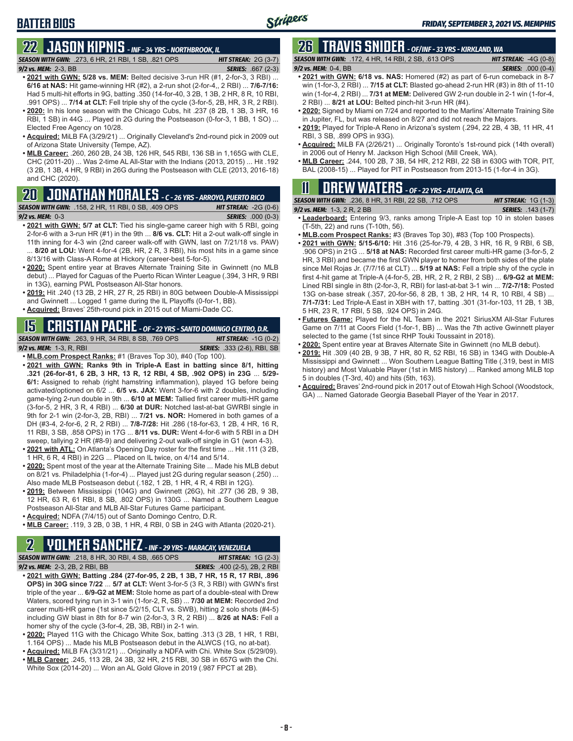### **BATTER BIOS**

# **22 JASON KIPNIS** *- INF - 34 YRS - NORTHBROOK, IL*

*SEASON WITH GWN:*.273, 6 HR, 21 RBI, 1 SB, .821 OPS *HIT STREAK:* 2G (3-7) *9/2 vs. MEM:*2-3, BB *SERIES:* .667 (2-3)

- **• 2021 with GWN: 5/28 vs. MEM:** Belted decisive 3-run HR (#1, 2-for-3, 3 RBI) ... **6/16 at NAS:** Hit game-winning HR (#2), a 2-run shot (2-for-4,, 2 RBI) ... **7/6-7/16:** Had 5 multi-hit efforts in 9G, batting .350 (14-for-40, 3 2B, 1 3B, 2 HR, 8 R, 10 RBI, .991 OPS) ... **7/14 at CLT:** Fell triple shy of the cycle (3-for-5, 2B, HR, 3 R, 2 RBI).
- **• 2020:** In his lone season with the Chicago Cubs, hit .237 (8 2B, 1 3B, 3 HR, 16 RBI, 1 SB) in 44G ... Played in 2G during the Postseason (0-for-3, 1 BB, 1 SO) ... Elected Free Agency on 10/28.
- **• Acquired:** MiLB FA (3/29/21) ... Originally Cleveland's 2nd-round pick in 2009 out of Arizona State University (Tempe, AZ).
- **• MLB Career:** .260, 260 2B, 24 3B, 126 HR, 545 RBI, 136 SB in 1,165G with CLE, CHC (2011-20) ... Was 2-time AL All-Star with the Indians (2013, 2015) ... Hit .192 (3 2B, 1 3B, 4 HR, 9 RBI) in 26G during the Postseason with CLE (2013, 2016-18) and CHC (2020).

# **20 JONATHAN MORALES** *- C - 26 YRS - ARROYO, PUERTO RICO*

*SEASON WITH GWN:*.158, 2 HR, 11 RBI, 0 SB, .409 OPS *HIT STREAK:* -2G (0-6) *9/2 vs. MEM:*0-3 *SERIES:* .000 (0-3)

- **• 2021 with GWN: 5/7 at CLT:** Tied his single-game career high with 5 RBI, going 2-for-6 with a 3-run HR (#1) in the 9th ... **8/6 vs. CLT:** Hit a 2-out walk-off single in 11th inning for 4-3 win (2nd career walk-off with GWN, last on 7/21/18 vs. PAW) 8/20 at LOU: Went 4-for-4 (2B, HR, 2 R, 3 RBI), his most hits in a game since 8/13/16 with Class-A Rome at Hickory (career-best 5-for-5).
- **• 2020:** Spent entire year at Braves Alternate Training Site in Gwinnett (no MLB debut) ... Played for Caguas of the Puerto Rican Winter League (.394, 3 HR, 9 RBI in 13G), earning PWL Postseason All-Star honors.
- **• 2019:** Hit .240 (13 2B, 2 HR, 27 R, 25 RBI) in 80G between Double-A Mississippi and Gwinnett ... Logged 1 game during the IL Playoffs (0-for-1, BB).
- **• Acquired:** Braves' 25th-round pick in 2015 out of Miami-Dade CC.

#### **15 CRISTIAN PACHE** *- OF - 22 YRS - SANTO DOMINGO CENTRO, D.R.*

*SEASON WITH GWN:*.263, 9 HR, 34 RBI, 8 SB, .769 OPS *HIT STREAK:* -1G (0-2) *9/2 vs. MEM:* 1-3, R, RBI *SERIES:* .333 (2-6), RBI, SB

- **• MLB.com Prospect Ranks:** #1 (Braves Top 30), #40 (Top 100). **• 2021 with GWN: Ranks 9th in Triple-A East in batting since 8/1, hitting .321 (26-for-81, 6 2B, 3 HR, 13 R, 12 RBI, 4 SB, .902 OPS) in 23G** ... **5/29-**
- **6/1:** Assigned to rehab (right hamstring inflammation), played 1G before being activated/optioned on 6/2 ... **6/5 vs. JAX:** Went 3-for-6 with 2 doubles, including game-tying 2-run double in 9th ... **6/10 at MEM:** Tallied first career multi-HR game (3-for-5, 2 HR, 3 R, 4 RBI) ... **6/30 at DUR:** Notched last-at-bat GWRBI single in 9th for 2-1 win (2-for-3, 2B, RBI) ... **7/21 vs. NOR:** Homered in both games of a DH (#3-4, 2-for-6, 2 R, 2 RBI) ... **7/8-7/28:** Hit .286 (18-for-63, 1 2B, 4 HR, 16 R, 11 RBI, 3 SB, .858 OPS) in 17G ... **8/11 vs. DUR:** Went 4-for-6 with 5 RBI in a DH sweep, tallying 2 HR (#8-9) and delivering 2-out walk-off single in G1 (won 4-3).
- **• 2021 with ATL:** On Atlanta's Opening Day roster for the first time ... Hit .111 (3 2B, 1 HR, 6 R, 4 RBI) in 22G ... Placed on IL twice, on 4/14 and 5/14.
- **• 2020:** Spent most of the year at the Alternate Training Site ... Made his MLB debut on 8/21 vs. Philadelphia (1-for-4) ... Played just 2G during regular season (.250) ... Also made MLB Postseason debut (.182, 1 2B, 1 HR, 4 R, 4 RBI in 12G).
- **• 2019:** Between Mississippi (104G) and Gwinnett (26G), hit .277 (36 2B, 9 3B, 12 HR, 63 R, 61 RBI, 8 SB, .802 OPS) in 130G ... Named a Southern League Postseason All-Star and MLB All-Star Futures Game participant.
- **• Acquired:** NDFA (7/4/15) out of Santo Domingo Centro, D.R.
- **• MLB Career:** .119, 3 2B, 0 3B, 1 HR, 4 RBI, 0 SB in 24G with Atlanta (2020-21).

# **2 YOLMER SANCHEZ** *- INF - 29 YRS - MARACAY, VENEZUELA*

*SEASON WITH GWN:*.218, 8 HR, 30 RBI, 4 SB, .665 OPS *HIT STREAK:* 1G (2-3)

- *9/2 vs. MEM:*2-3, 2B, 2 RBI, BB *SERIES:* .400 (2-5), 2B, 2 RBI **• 2021 with GWN: Batting .284 (27-for-95, 2 2B, 1 3B, 7 HR, 15 R, 17 RBI, .896 OPS) in 30G since 7/22** ... **5/7 at CLT:** Went 3-for-5 (3 R, 3 RBI) with GWN's first triple of the year ... **6/9-G2 at MEM:** Stole home as part of a double-steal with Drew Waters, scored tying run in 3-1 win (1-for-2, R, SB) ... **7/30 at MEM:** Recorded 2nd career multi-HR game (1st since 5/2/15, CLT vs. SWB), hitting 2 solo shots (#4-5) including GW blast in 8th for 8-7 win (2-for-3, 3 R, 2 RBI) ... **8/26 at NAS:** Fell a homer shy of the cycle (3-for-4, 2B, 3B, RBI) in 2-1 win.
- **• 2020:** Played 11G with the Chicago White Sox, batting .313 (3 2B, 1 HR, 1 RBI, 1.164 OPS) ... Made his MLB Postseason debut in the ALWCS (1G, no at-bat).
- **• Acquired:** MiLB FA (3/31/21) ... Originally a NDFA with Chi. White Sox (5/29/09).
- **• MLB Career:** .245, 113 2B, 24 3B, 32 HR, 215 RBI, 30 SB in 657G with the Chi. White Sox (2014-20) ... Won an AL Gold Glove in 2019 (.987 FPCT at 2B).

### **26 TRAVIS SNIDER** *- OF/INF - 33 YRS - KIRKLAND, WA*

*SEASON WITH GWN:*.172, 4 HR, 14 RBI, 2 SB, .613 OPS *HIT STREAK:* -4G (0-8)

- *9/2 vs. MEM:* 0-4, BB *SERIES:* .000 (0-4) **• 2021 with GWN: 6/18 vs. NAS:** Homered (#2) as part of 6-run comeback in 8-7 win (1-for-3, 2 RBI) ... **7/15 at CLT:** Blasted go-ahead 2-run HR (#3) in 8th of 11-10 win (1-for-4, 2 RBI) ... **7/31 at MEM:** Delivered GW 2-run double in 2-1 win (1-for-4, 2 RBI) ... **8/21 at LOU:** Belted pinch-hit 3-run HR (#4).
- **• 2020:** Signed by Miami on 7/24 and reported to the Marlins' Alternate Training Site in Jupiter, FL, but was released on 8/27 and did not reach the Majors.
- **• 2019:** Played for Triple-A Reno in Arizona's system (.294, 22 2B, 4 3B, 11 HR, 41 RBI, 3 SB, .899 OPS in 93G).
- **• Acquired:** MiLB FA (2/26/21) ... Originally Toronto's 1st-round pick (14th overall) in 2006 out of Henry M. Jackson High School (Mill Creek, WA).
- **• MLB Career:** .244, 100 2B, 7 3B, 54 HR, 212 RBI, 22 SB in 630G with TOR, PIT, BAL (2008-15) ... Played for PIT in Postseason from 2013-15 (1-for-4 in 3G).

### **11 Drew WATERS** *- OF - 22 YRS - ATLANTA, GA*

| <b>SEASON WITH GWN:</b> .236, 8 HR, 31 RBI, 22 SB, .712 OPS | <b>HIT STREAK:</b> $1G(1-3)$ |
|-------------------------------------------------------------|------------------------------|
| 9/2 vs. MEM: $1-3$ , $2R$ , $2BB$                           | <b>SERIES:</b> .143 (1-7)    |

- **• Leaderboard:** Entering 9/3, ranks among Triple-A East top 10 in stolen bases (T-5th, 22) and runs (T-10th, 56).
- **• MLB.com Prospect Ranks:** #3 (Braves Top 30), #83 (Top 100 Prospects).
- **• 2021 with GWN: 5/15-6/10:** Hit .316 (25-for-79, 4 2B, 3 HR, 16 R, 9 RBI, 6 SB, .906 OPS) in 21G ... **5/18 at NAS:** Recorded first career multi-HR game (3-for-5, 2 HR, 3 RBI) and became the first GWN player to homer from both sides of the plate since Mel Rojas Jr. (7/7/16 at CLT) ... **5/19 at NAS:** Fell a triple shy of the cycle in first 4-hit game at Triple-A (4-for-5, 2B, HR, 2 R, 2 RBI, 2 SB) ... **6/9-G2 at MEM:** Lined RBI single in 8th (2-for-3, R, RBI) for last-at-bat 3-1 win ... **7/2-7/18:** Posted 13G on-base streak (.357, 20-for-56, 8 2B, 1 3B, 2 HR, 14 R, 10 RBI, 4 SB) ... **7/1-7/31:** Led Triple-A East in XBH with 17, batting .301 (31-for-103, 11 2B, 1 3B, 5 HR, 23 R, 17 RBI, 5 SB, .924 OPS) in 24G.
- **• Futures Game:** Played for the NL Team in the 2021 SiriusXM All-Star Futures Game on 7/11 at Coors Field (1-for-1, BB) ... Was the 7th active Gwinnett player selected to the game (1st since RHP Touki Toussaint in 2018).
- **• 2020:** Spent entire year at Braves Alternate Site in Gwinnett (no MLB debut).
- **• 2019:** Hit .309 (40 2B, 9 3B, 7 HR, 80 R, 52 RBI, 16 SB) in 134G with Double-A Mississippi and Gwinnett ... Won Southern League Batting Title (.319, best in MIS history) and Most Valuable Player (1st in MIS history) ... Ranked among MiLB top 5 in doubles (T-3rd, 40) and hits (5th, 163).
- **• Acquired:** Braves' 2nd-round pick in 2017 out of Etowah High School (Woodstock, GA) ... Named Gatorade Georgia Baseball Player of the Year in 2017.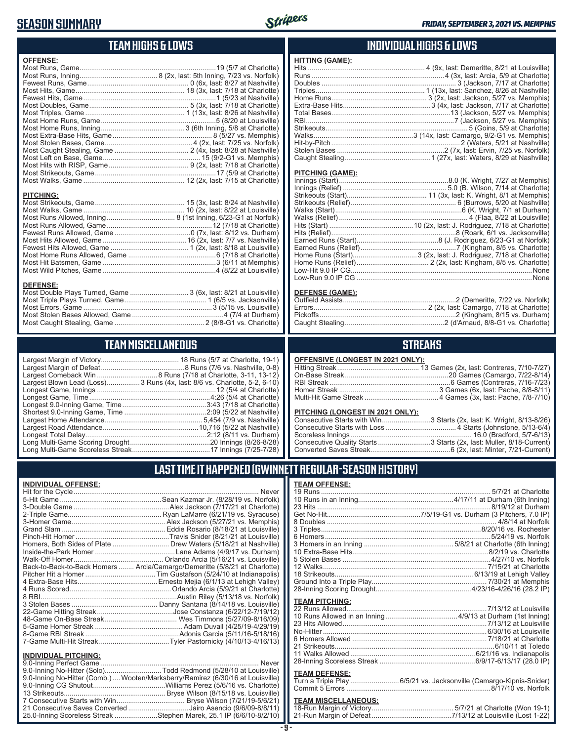### **SEASON SUMMARY**



### **TEAM HIGHS & LOWS**

| <b>OFFENSE:</b>  |                                                                  |
|------------------|------------------------------------------------------------------|
|                  |                                                                  |
|                  |                                                                  |
|                  |                                                                  |
|                  |                                                                  |
|                  |                                                                  |
|                  |                                                                  |
|                  |                                                                  |
|                  |                                                                  |
|                  |                                                                  |
|                  |                                                                  |
|                  |                                                                  |
|                  |                                                                  |
|                  |                                                                  |
|                  |                                                                  |
|                  |                                                                  |
|                  |                                                                  |
| <b>PITCHING:</b> |                                                                  |
| <b>DEFENSE:</b>  | Most Double Plays Turned, Game  3 (6x, last: 8/21 at Louisville) |

#### **INDIVIDUAL HIGHS & LOWS**

| <b>HITTING (GAME):</b> |  |
|------------------------|--|
|                        |  |
|                        |  |
|                        |  |
|                        |  |
|                        |  |
|                        |  |
|                        |  |
|                        |  |
|                        |  |
|                        |  |
|                        |  |
|                        |  |
|                        |  |

#### **PITCHING (GAME):**

#### **DEFENSE (GAME):**

### **STREAKS**

| OFFENSIVE (LONGEST IN 2021 ONLY): |  |
|-----------------------------------|--|
|-----------------------------------|--|

#### **PITCHING (LONGEST IN 2021 ONLY):**

| Consecutive Starts with Win3 Starts (2x, last: K. Wright, 8/13-8/26) |  |
|----------------------------------------------------------------------|--|
|                                                                      |  |
|                                                                      |  |
| Consecutive Quality Starts 3 Starts (2x, last: Muller, 8/18-Current) |  |
|                                                                      |  |
|                                                                      |  |

#### **LAST TIME IT HAPPENED (GWINNETT REGULAR-SEASON HISTORY)**

#### **TEAM OFFENSE:**

| <b>TEAM PITCHING:</b> |  |
|-----------------------|--|
| 22 Runs Allowed       |  |
|                       |  |
|                       |  |
|                       |  |
|                       |  |
|                       |  |
|                       |  |
|                       |  |
| TEAM BEFEMOE.         |  |

#### **TEAM DEFENSE:**

| Turn a Triple Play 6/5/21 vs. Jacksonville (Camargo-Kipnis-Snider) |
|--------------------------------------------------------------------|
|                                                                    |

# **TEAM MISCELLANEOUS:**<br>18-Run Margin of Victory....

# **TEAM MISCELLANEOUS**

Most Caught Stealing, Game .............................................. 2 (8/8-G1 vs. Charlotte)

| Largest Blown Lead (Loss)3 Runs (4x, last: 8/6 vs. Charlotte, 5-2, 6-10) |
|--------------------------------------------------------------------------|
|                                                                          |
| Longest Game, Time………………………………………………………4:26 (5/4 at Charlotte)           |
| Longest 9.0-Inning Game, Time……………………………………3:43 (7/18 at Charlotte)      |
|                                                                          |
|                                                                          |
|                                                                          |
|                                                                          |
|                                                                          |
|                                                                          |
|                                                                          |

| <b>INDIVIDUAL OFFENSE:</b>  |                                                                            |
|-----------------------------|----------------------------------------------------------------------------|
|                             |                                                                            |
|                             |                                                                            |
|                             |                                                                            |
|                             |                                                                            |
|                             |                                                                            |
|                             |                                                                            |
|                             |                                                                            |
|                             | Homers, Both Sides of Plate  Drew Waters (5/18/21 at Nashville)            |
|                             |                                                                            |
|                             |                                                                            |
|                             | Back-to-Back-to-Back Homers  Arcia/Camargo/Demeritte (5/8/21 at Charlotte) |
|                             |                                                                            |
|                             |                                                                            |
|                             |                                                                            |
|                             |                                                                            |
|                             |                                                                            |
|                             |                                                                            |
|                             |                                                                            |
|                             |                                                                            |
|                             |                                                                            |
|                             |                                                                            |
|                             |                                                                            |
| <b>INDIVIDUAL PITCHING:</b> |                                                                            |

| <u>INDIVIDUAL PITUMINU.</u>                                                     |  |
|---------------------------------------------------------------------------------|--|
|                                                                                 |  |
| 9.0-Inning No-Hitter (Solo)Todd Redmond (5/28/10 at Louisville)                 |  |
| 9.0-Inning No-Hitter (Comb.)  Wooten/Marksberry/Ramirez (6/30/16 at Louisville) |  |
|                                                                                 |  |
|                                                                                 |  |
|                                                                                 |  |
| 21 Consecutive Saves Converted Jairo Asencio (9/6/09-8/8/11)                    |  |
| 25.0-Inning Scoreless Streak Stephen Marek, 25.1 IP (6/6/10-8/2/10)             |  |